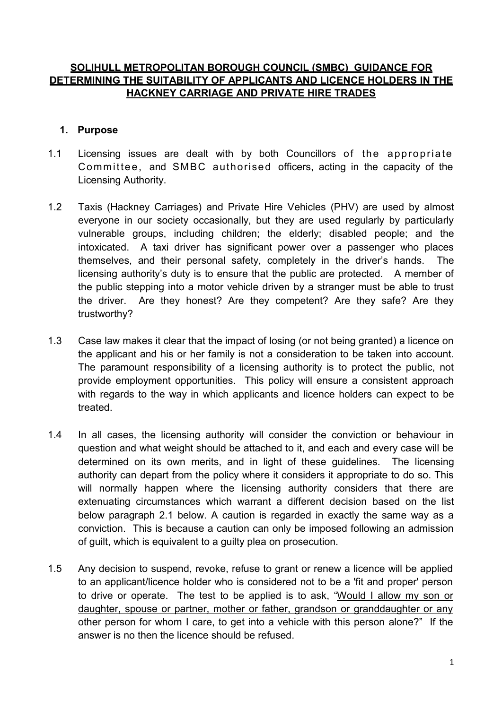## **SOLIHULL METROPOLITAN BOROUGH COUNCIL (SMBC) GUIDANCE FOR DETERMINING THE SUITABILITY OF APPLICANTS AND LICENCE HOLDERS IN THE HACKNEY CARRIAGE AND PRIVATE HIRE TRADES**

#### **1. Purpose**

- 1.1 Licensing issues are dealt with by both Councillors of the appropriate Committee, and SMBC authorised officers, acting in the capacity of the Licensing Authority.
- 1.2 Taxis (Hackney Carriages) and Private Hire Vehicles (PHV) are used by almost everyone in our society occasionally, but they are used regularly by particularly vulnerable groups, including children; the elderly; disabled people; and the intoxicated. A taxi driver has significant power over a passenger who places themselves, and their personal safety, completely in the driver's hands. The licensing authority's duty is to ensure that the public are protected. A member of the public stepping into a motor vehicle driven by a stranger must be able to trust the driver. Are they honest? Are they competent? Are they safe? Are they trustworthy?
- 1.3 Case law makes it clear that the impact of losing (or not being granted) a licence on the applicant and his or her family is not a consideration to be taken into account. The paramount responsibility of a licensing authority is to protect the public, not provide employment opportunities. This policy will ensure a consistent approach with regards to the way in which applicants and licence holders can expect to be treated.
- 1.4 In all cases, the licensing authority will consider the conviction or behaviour in question and what weight should be attached to it, and each and every case will be determined on its own merits, and in light of these guidelines. The licensing authority can depart from the policy where it considers it appropriate to do so. This will normally happen where the licensing authority considers that there are extenuating circumstances which warrant a different decision based on the list below paragraph 2.1 below. A caution is regarded in exactly the same way as a conviction. This is because a caution can only be imposed following an admission of guilt, which is equivalent to a guilty plea on prosecution.
- 1.5 Any decision to suspend, revoke, refuse to grant or renew a licence will be applied to an applicant/licence holder who is considered not to be a 'fit and proper' person to drive or operate. The test to be applied is to ask, "Would I allow my son or daughter, spouse or partner, mother or father, grandson or granddaughter or any other person for whom I care, to get into a vehicle with this person alone?" If the answer is no then the licence should be refused.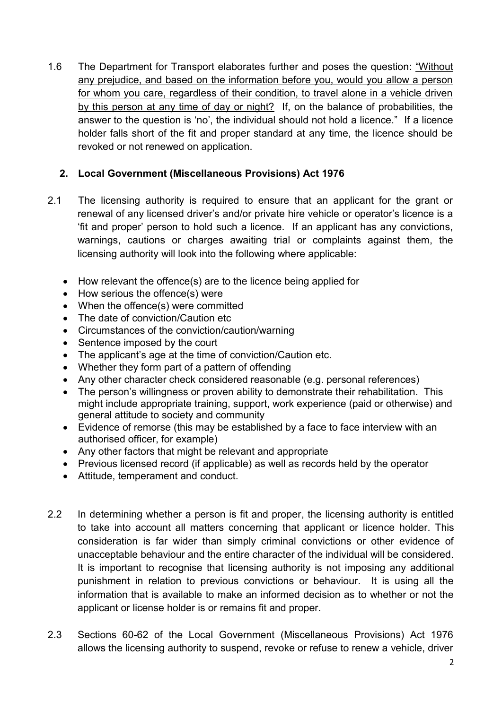1.6 The Department for Transport elaborates further and poses the question: "Without any prejudice, and based on the information before you, would you allow a person for whom you care, regardless of their condition, to travel alone in a vehicle driven by this person at any time of day or night? If, on the balance of probabilities, the answer to the question is 'no', the individual should not hold a licence." If a licence holder falls short of the fit and proper standard at any time, the licence should be revoked or not renewed on application.

# **2. Local Government (Miscellaneous Provisions) Act 1976**

- 2.1 The licensing authority is required to ensure that an applicant for the grant or renewal of any licensed driver's and/or private hire vehicle or operator's licence is a 'fit and proper' person to hold such a licence. If an applicant has any convictions, warnings, cautions or charges awaiting trial or complaints against them, the licensing authority will look into the following where applicable:
	- How relevant the offence(s) are to the licence being applied for
	- How serious the offence(s) were
	- When the offence(s) were committed
	- The date of conviction/Caution etc
	- Circumstances of the conviction/caution/warning
	- Sentence imposed by the court
	- The applicant's age at the time of conviction/Caution etc.
	- Whether they form part of a pattern of offending
	- Any other character check considered reasonable (e.g. personal references)
	- The person's willingness or proven ability to demonstrate their rehabilitation. This might include appropriate training, support, work experience (paid or otherwise) and general attitude to society and community
	- Evidence of remorse (this may be established by a face to face interview with an authorised officer, for example)
	- Any other factors that might be relevant and appropriate
	- Previous licensed record (if applicable) as well as records held by the operator
	- Attitude, temperament and conduct.
- 2.2 In determining whether a person is fit and proper, the licensing authority is entitled to take into account all matters concerning that applicant or licence holder. This consideration is far wider than simply criminal convictions or other evidence of unacceptable behaviour and the entire character of the individual will be considered. It is important to recognise that licensing authority is not imposing any additional punishment in relation to previous convictions or behaviour. It is using all the information that is available to make an informed decision as to whether or not the applicant or license holder is or remains fit and proper.
- 2.3 Sections 60-62 of the Local Government (Miscellaneous Provisions) Act 1976 allows the licensing authority to suspend, revoke or refuse to renew a vehicle, driver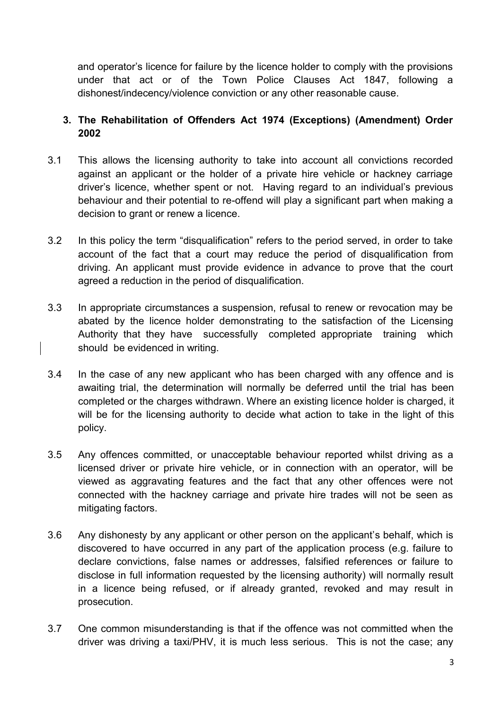and operator's licence for failure by the licence holder to comply with the provisions under that act or of the Town Police Clauses Act 1847, following a dishonest/indecency/violence conviction or any other reasonable cause.

# **3. The Rehabilitation of Offenders Act 1974 (Exceptions) (Amendment) Order 2002**

- 3.1 This allows the licensing authority to take into account all convictions recorded against an applicant or the holder of a private hire vehicle or hackney carriage driver's licence, whether spent or not. Having regard to an individual's previous behaviour and their potential to re-offend will play a significant part when making a decision to grant or renew a licence.
- 3.2 In this policy the term "disqualification" refers to the period served, in order to take account of the fact that a court may reduce the period of disqualification from driving. An applicant must provide evidence in advance to prove that the court agreed a reduction in the period of disqualification.
- 3.3 In appropriate circumstances a suspension, refusal to renew or revocation may be abated by the licence holder demonstrating to the satisfaction of the Licensing Authority that they have successfully completed appropriate training which should be evidenced in writing.
- 3.4 In the case of any new applicant who has been charged with any offence and is awaiting trial, the determination will normally be deferred until the trial has been completed or the charges withdrawn. Where an existing licence holder is charged, it will be for the licensing authority to decide what action to take in the light of this policy.
- 3.5 Any offences committed, or unacceptable behaviour reported whilst driving as a licensed driver or private hire vehicle, or in connection with an operator, will be viewed as aggravating features and the fact that any other offences were not connected with the hackney carriage and private hire trades will not be seen as mitigating factors.
- 3.6 Any dishonesty by any applicant or other person on the applicant's behalf, which is discovered to have occurred in any part of the application process (e.g. failure to declare convictions, false names or addresses, falsified references or failure to disclose in full information requested by the licensing authority) will normally result in a licence being refused, or if already granted, revoked and may result in prosecution.
- 3.7 One common misunderstanding is that if the offence was not committed when the driver was driving a taxi/PHV, it is much less serious. This is not the case; any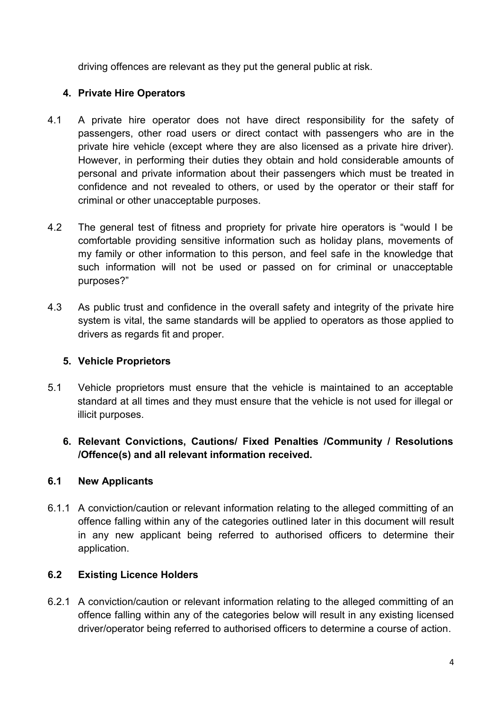driving offences are relevant as they put the general public at risk.

# **4. Private Hire Operators**

- 4.1 A private hire operator does not have direct responsibility for the safety of passengers, other road users or direct contact with passengers who are in the private hire vehicle (except where they are also licensed as a private hire driver). However, in performing their duties they obtain and hold considerable amounts of personal and private information about their passengers which must be treated in confidence and not revealed to others, or used by the operator or their staff for criminal or other unacceptable purposes.
- 4.2 The general test of fitness and propriety for private hire operators is "would I be comfortable providing sensitive information such as holiday plans, movements of my family or other information to this person, and feel safe in the knowledge that such information will not be used or passed on for criminal or unacceptable purposes?"
- 4.3 As public trust and confidence in the overall safety and integrity of the private hire system is vital, the same standards will be applied to operators as those applied to drivers as regards fit and proper.

# **5. Vehicle Proprietors**

- 5.1 Vehicle proprietors must ensure that the vehicle is maintained to an acceptable standard at all times and they must ensure that the vehicle is not used for illegal or illicit purposes.
	- **6. Relevant Convictions, Cautions/ Fixed Penalties /Community / Resolutions /Offence(s) and all relevant information received.**

# **6.1 New Applicants**

6.1.1 A conviction/caution or relevant information relating to the alleged committing of an offence falling within any of the categories outlined later in this document will result in any new applicant being referred to authorised officers to determine their application.

# **6.2 Existing Licence Holders**

6.2.1 A conviction/caution or relevant information relating to the alleged committing of an offence falling within any of the categories below will result in any existing licensed driver/operator being referred to authorised officers to determine a course of action.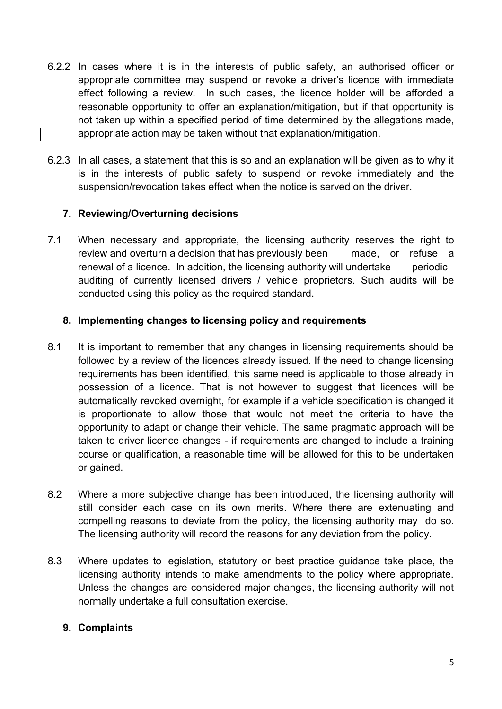- 6.2.2 In cases where it is in the interests of public safety, an authorised officer or appropriate committee may suspend or revoke a driver's licence with immediate effect following a review. In such cases, the licence holder will be afforded a reasonable opportunity to offer an explanation/mitigation, but if that opportunity is not taken up within a specified period of time determined by the allegations made, appropriate action may be taken without that explanation/mitigation.
- 6.2.3 In all cases, a statement that this is so and an explanation will be given as to why it is in the interests of public safety to suspend or revoke immediately and the suspension/revocation takes effect when the notice is served on the driver.

## **7. Reviewing/Overturning decisions**

7.1 When necessary and appropriate, the licensing authority reserves the right to review and overturn a decision that has previously been made, or refuse a renewal of a licence. In addition, the licensing authority will undertake periodic auditing of currently licensed drivers / vehicle proprietors. Such audits will be conducted using this policy as the required standard.

## **8. Implementing changes to licensing policy and requirements**

- 8.1 It is important to remember that any changes in licensing requirements should be followed by a review of the licences already issued. If the need to change licensing requirements has been identified, this same need is applicable to those already in possession of a licence. That is not however to suggest that licences will be automatically revoked overnight, for example if a vehicle specification is changed it is proportionate to allow those that would not meet the criteria to have the opportunity to adapt or change their vehicle. The same pragmatic approach will be taken to driver licence changes - if requirements are changed to include a training course or qualification, a reasonable time will be allowed for this to be undertaken or gained.
- 8.2 Where a more subjective change has been introduced, the licensing authority will still consider each case on its own merits. Where there are extenuating and compelling reasons to deviate from the policy, the licensing authority may do so. The licensing authority will record the reasons for any deviation from the policy.
- 8.3 Where updates to legislation, statutory or best practice guidance take place, the licensing authority intends to make amendments to the policy where appropriate. Unless the changes are considered major changes, the licensing authority will not normally undertake a full consultation exercise.

## **9. Complaints**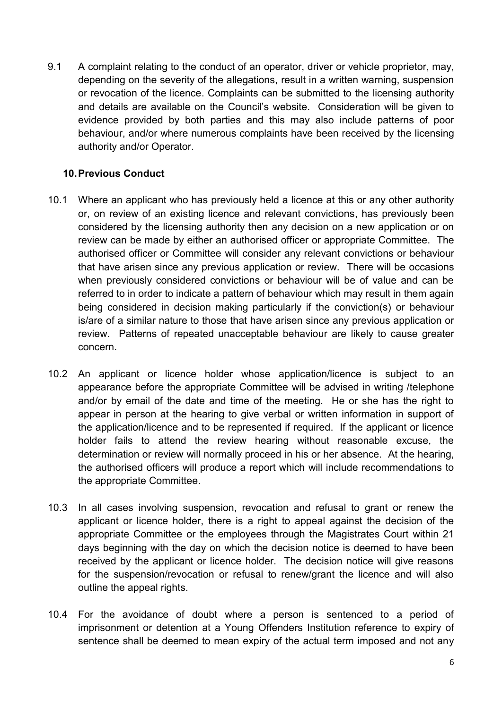9.1 A complaint relating to the conduct of an operator, driver or vehicle proprietor, may, depending on the severity of the allegations, result in a written warning, suspension or revocation of the licence. Complaints can be submitted to the licensing authority and details are available on the Council's website. Consideration will be given to evidence provided by both parties and this may also include patterns of poor behaviour, and/or where numerous complaints have been received by the licensing authority and/or Operator.

## **10. Previous Conduct**

- 10.1 Where an applicant who has previously held a licence at this or any other authority or, on review of an existing licence and relevant convictions, has previously been considered by the licensing authority then any decision on a new application or on review can be made by either an authorised officer or appropriate Committee. The authorised officer or Committee will consider any relevant convictions or behaviour that have arisen since any previous application or review. There will be occasions when previously considered convictions or behaviour will be of value and can be referred to in order to indicate a pattern of behaviour which may result in them again being considered in decision making particularly if the conviction(s) or behaviour is/are of a similar nature to those that have arisen since any previous application or review. Patterns of repeated unacceptable behaviour are likely to cause greater concern.
- 10.2 An applicant or licence holder whose application/licence is subject to an appearance before the appropriate Committee will be advised in writing /telephone and/or by email of the date and time of the meeting. He or she has the right to appear in person at the hearing to give verbal or written information in support of the application/licence and to be represented if required. If the applicant or licence holder fails to attend the review hearing without reasonable excuse, the determination or review will normally proceed in his or her absence. At the hearing, the authorised officers will produce a report which will include recommendations to the appropriate Committee.
- 10.3 In all cases involving suspension, revocation and refusal to grant or renew the applicant or licence holder, there is a right to appeal against the decision of the appropriate Committee or the employees through the Magistrates Court within 21 days beginning with the day on which the decision notice is deemed to have been received by the applicant or licence holder. The decision notice will give reasons for the suspension/revocation or refusal to renew/grant the licence and will also outline the appeal rights.
- 10.4 For the avoidance of doubt where a person is sentenced to a period of imprisonment or detention at a Young Offenders Institution reference to expiry of sentence shall be deemed to mean expiry of the actual term imposed and not any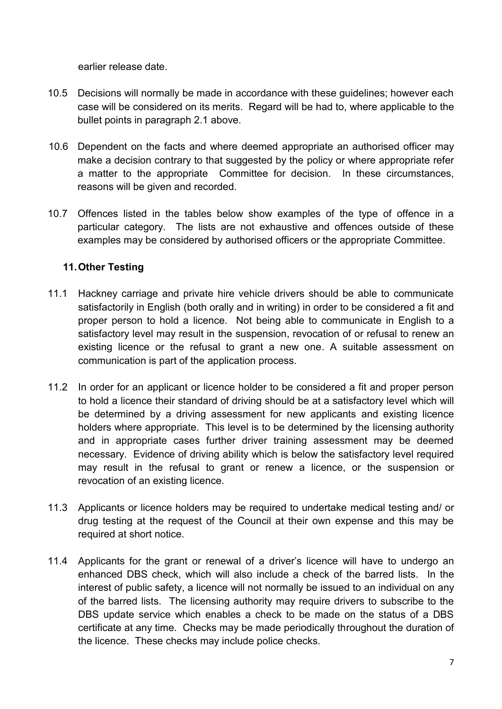earlier release date.

- 10.5 Decisions will normally be made in accordance with these guidelines; however each case will be considered on its merits. Regard will be had to, where applicable to the bullet points in paragraph 2.1 above.
- 10.6 Dependent on the facts and where deemed appropriate an authorised officer may make a decision contrary to that suggested by the policy or where appropriate refer a matter to the appropriate Committee for decision. In these circumstances, reasons will be given and recorded.
- 10.7 Offences listed in the tables below show examples of the type of offence in a particular category. The lists are not exhaustive and offences outside of these examples may be considered by authorised officers or the appropriate Committee.

## **11. Other Testing**

- 11.1 Hackney carriage and private hire vehicle drivers should be able to communicate satisfactorily in English (both orally and in writing) in order to be considered a fit and proper person to hold a licence. Not being able to communicate in English to a satisfactory level may result in the suspension, revocation of or refusal to renew an existing licence or the refusal to grant a new one. A suitable assessment on communication is part of the application process.
- 11.2 In order for an applicant or licence holder to be considered a fit and proper person to hold a licence their standard of driving should be at a satisfactory level which will be determined by a driving assessment for new applicants and existing licence holders where appropriate. This level is to be determined by the licensing authority and in appropriate cases further driver training assessment may be deemed necessary. Evidence of driving ability which is below the satisfactory level required may result in the refusal to grant or renew a licence, or the suspension or revocation of an existing licence.
- 11.3 Applicants or licence holders may be required to undertake medical testing and/ or drug testing at the request of the Council at their own expense and this may be required at short notice.
- 11.4 Applicants for the grant or renewal of a driver's licence will have to undergo an enhanced DBS check, which will also include a check of the barred lists. In the interest of public safety, a licence will not normally be issued to an individual on any of the barred lists. The licensing authority may require drivers to subscribe to the DBS update service which enables a check to be made on the status of a DBS certificate at any time. Checks may be made periodically throughout the duration of the licence. These checks may include police checks.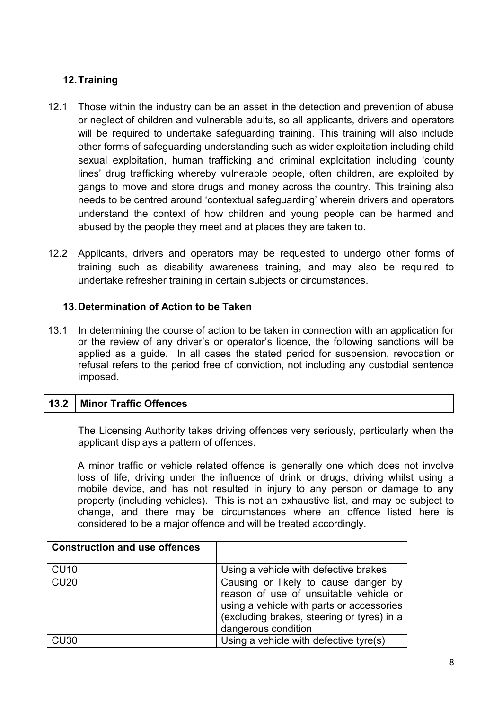# **12. Training**

- 12.1 Those within the industry can be an asset in the detection and prevention of abuse or neglect of children and vulnerable adults, so all applicants, drivers and operators will be required to undertake safeguarding training. This training will also include other forms of safeguarding understanding such as wider exploitation including child sexual exploitation, human trafficking and criminal exploitation including 'county lines' drug trafficking whereby vulnerable people, often children, are exploited by gangs to move and store drugs and money across the country. This training also needs to be centred around 'contextual safeguarding' wherein drivers and operators understand the context of how children and young people can be harmed and abused by the people they meet and at places they are taken to.
- 12.2 Applicants, drivers and operators may be requested to undergo other forms of training such as disability awareness training, and may also be required to undertake refresher training in certain subjects or circumstances.

# **13. Determination of Action to be Taken**

13.1 In determining the course of action to be taken in connection with an application for or the review of any driver's or operator's licence, the following sanctions will be applied as a guide. In all cases the stated period for suspension, revocation or refusal refers to the period free of conviction, not including any custodial sentence imposed.

# **13.2 Minor Traffic Offences**

 The Licensing Authority takes driving offences very seriously, particularly when the applicant displays a pattern of offences.

A minor traffic or vehicle related offence is generally one which does not involve loss of life, driving under the influence of drink or drugs, driving whilst using a mobile device, and has not resulted in injury to any person or damage to any property (including vehicles). This is not an exhaustive list, and may be subject to change, and there may be circumstances where an offence listed here is considered to be a major offence and will be treated accordingly.

| <b>Construction and use offences</b> |                                                                                                                                                                                                  |
|--------------------------------------|--------------------------------------------------------------------------------------------------------------------------------------------------------------------------------------------------|
|                                      |                                                                                                                                                                                                  |
| <b>CU10</b>                          | Using a vehicle with defective brakes                                                                                                                                                            |
| <b>CU20</b>                          | Causing or likely to cause danger by<br>reason of use of unsuitable vehicle or<br>using a vehicle with parts or accessories<br>(excluding brakes, steering or tyres) in a<br>dangerous condition |
| CU <sub>30</sub>                     | Using a vehicle with defective tyre(s)                                                                                                                                                           |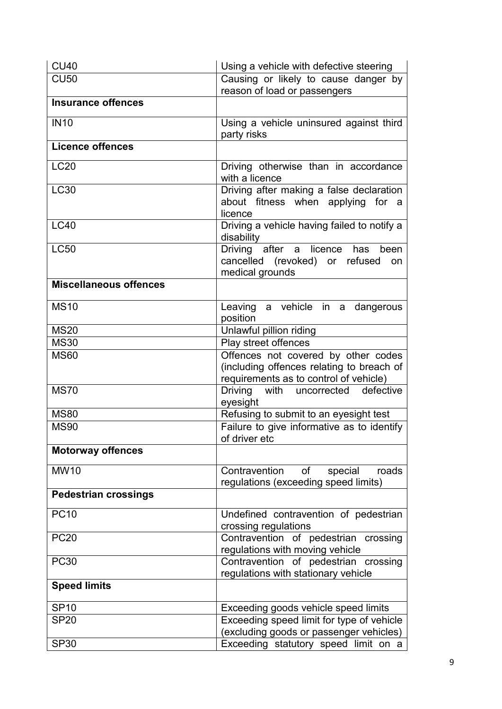| <b>CU40</b>                   | Using a vehicle with defective steering                                                                                    |
|-------------------------------|----------------------------------------------------------------------------------------------------------------------------|
| <b>CU50</b>                   | Causing or likely to cause danger by<br>reason of load or passengers                                                       |
| <b>Insurance offences</b>     |                                                                                                                            |
| <b>IN10</b>                   | Using a vehicle uninsured against third<br>party risks                                                                     |
| <b>Licence offences</b>       |                                                                                                                            |
| <b>LC20</b>                   | Driving otherwise than in accordance<br>with a licence                                                                     |
| <b>LC30</b>                   | Driving after making a false declaration<br>about fitness when applying for a<br>licence                                   |
| <b>LC40</b>                   | Driving a vehicle having failed to notify a<br>disability                                                                  |
| <b>LC50</b>                   | Driving after a licence has<br>been<br>cancelled (revoked) or refused<br>on<br>medical grounds                             |
| <b>Miscellaneous offences</b> |                                                                                                                            |
| <b>MS10</b>                   | Leaving a vehicle in a dangerous<br>position                                                                               |
| <b>MS20</b>                   | Unlawful pillion riding                                                                                                    |
| <b>MS30</b>                   | Play street offences                                                                                                       |
| <b>MS60</b>                   | Offences not covered by other codes<br>(including offences relating to breach of<br>requirements as to control of vehicle) |
| <b>MS70</b>                   | Driving with uncorrected defective<br>eyesight                                                                             |
| <b>MS80</b>                   | Refusing to submit to an eyesight test                                                                                     |
| <b>MS90</b>                   | Failure to give informative as to identify<br>of driver etc                                                                |
| <b>Motorway offences</b>      |                                                                                                                            |
| <b>MW10</b>                   | Contravention<br>of<br>special<br>roads<br>regulations (exceeding speed limits)                                            |
| <b>Pedestrian crossings</b>   |                                                                                                                            |
| <b>PC10</b>                   | Undefined contravention of pedestrian<br>crossing regulations                                                              |
| <b>PC20</b>                   | Contravention of pedestrian crossing<br>regulations with moving vehicle                                                    |
| <b>PC30</b>                   | Contravention of pedestrian crossing<br>regulations with stationary vehicle                                                |
| <b>Speed limits</b>           |                                                                                                                            |
| <b>SP10</b>                   | Exceeding goods vehicle speed limits                                                                                       |
| <b>SP20</b>                   | Exceeding speed limit for type of vehicle<br>(excluding goods or passenger vehicles)                                       |
| <b>SP30</b>                   | Exceeding statutory speed limit on a                                                                                       |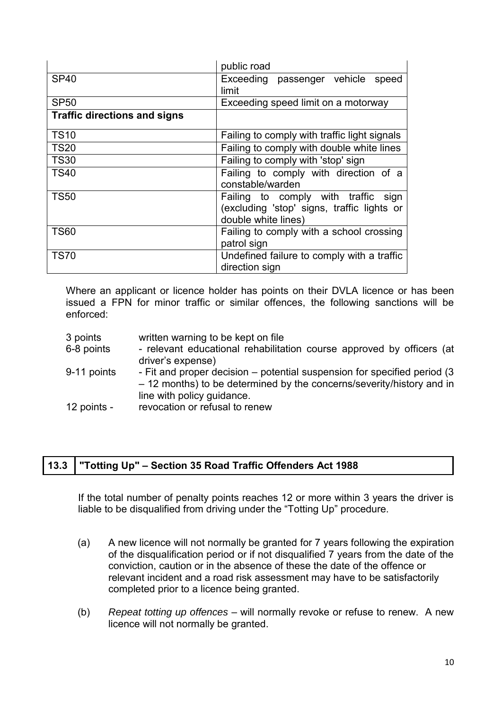|                                     | public road                                                                                                 |
|-------------------------------------|-------------------------------------------------------------------------------------------------------------|
| <b>SP40</b>                         | Exceeding passenger vehicle<br>speed<br>limit                                                               |
| <b>SP50</b>                         | Exceeding speed limit on a motorway                                                                         |
| <b>Traffic directions and signs</b> |                                                                                                             |
| <b>TS10</b>                         | Failing to comply with traffic light signals                                                                |
| <b>TS20</b>                         | Failing to comply with double white lines                                                                   |
| <b>TS30</b>                         | Failing to comply with 'stop' sign                                                                          |
| <b>TS40</b>                         | Failing to comply with direction of a<br>constable/warden                                                   |
| <b>TS50</b>                         | Failing to comply with traffic<br>sign<br>(excluding 'stop' signs, traffic lights or<br>double white lines) |
| <b>TS60</b>                         | Failing to comply with a school crossing<br>patrol sign                                                     |
| <b>TS70</b>                         | Undefined failure to comply with a traffic<br>direction sign                                                |

Where an applicant or licence holder has points on their DVLA licence or has been issued a FPN for minor traffic or similar offences, the following sanctions will be enforced:

| 3 points    | written warning to be kept on file                                        |
|-------------|---------------------------------------------------------------------------|
| 6-8 points  | - relevant educational rehabilitation course approved by officers (at     |
|             | driver's expense)                                                         |
| 9-11 points | - Fit and proper decision – potential suspension for specified period (3) |
|             | - 12 months) to be determined by the concerns/severity/history and in     |
|             | line with policy guidance.                                                |
| 12 points - | revocation or refusal to renew                                            |

## **13.3 "Totting Up" – Section 35 Road Traffic Offenders Act 1988**

 If the total number of penalty points reaches 12 or more within 3 years the driver is liable to be disqualified from driving under the "Totting Up" procedure.

- (a) A new licence will not normally be granted for 7 years following the expiration of the disqualification period or if not disqualified 7 years from the date of the conviction, caution or in the absence of these the date of the offence or relevant incident and a road risk assessment may have to be satisfactorily completed prior to a licence being granted.
- (b) *Repeat totting up offences* will normally revoke or refuse to renew. A new licence will not normally be granted.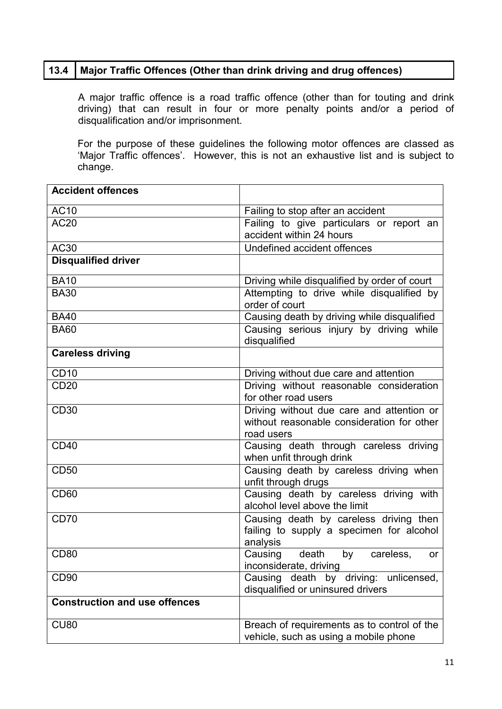## **13.4 Major Traffic Offences (Other than drink driving and drug offences)**

 A major traffic offence is a road traffic offence (other than for touting and drink driving) that can result in four or more penalty points and/or a period of disqualification and/or imprisonment.

For the purpose of these guidelines the following motor offences are classed as 'Major Traffic offences'. However, this is not an exhaustive list and is subject to change.

| <b>Accident offences</b>             |                                                                                                       |  |
|--------------------------------------|-------------------------------------------------------------------------------------------------------|--|
| <b>AC10</b>                          | Failing to stop after an accident                                                                     |  |
| <b>AC20</b>                          | Failing to give particulars or report an<br>accident within 24 hours                                  |  |
| <b>AC30</b>                          | Undefined accident offences                                                                           |  |
| <b>Disqualified driver</b>           |                                                                                                       |  |
| <b>BA10</b>                          | Driving while disqualified by order of court                                                          |  |
| <b>BA30</b>                          | Attempting to drive while disqualified by<br>order of court                                           |  |
| <b>BA40</b>                          | Causing death by driving while disqualified                                                           |  |
| <b>BA60</b>                          | Causing serious injury by driving while<br>disqualified                                               |  |
| <b>Careless driving</b>              |                                                                                                       |  |
| <b>CD10</b>                          | Driving without due care and attention                                                                |  |
| <b>CD20</b>                          | Driving without reasonable consideration<br>for other road users                                      |  |
| <b>CD30</b>                          | Driving without due care and attention or<br>without reasonable consideration for other<br>road users |  |
| <b>CD40</b>                          | Causing death through careless driving<br>when unfit through drink                                    |  |
| <b>CD50</b>                          | Causing death by careless driving when<br>unfit through drugs                                         |  |
| <b>CD60</b>                          | Causing death by careless driving with<br>alcohol level above the limit                               |  |
| <b>CD70</b>                          | Causing death by careless driving then<br>failing to supply a specimen for alcohol<br>analysis        |  |
| <b>CD80</b>                          | Causing<br>death<br>by<br>careless,<br>or<br>inconsiderate, driving                                   |  |
| CD <sub>90</sub>                     | Causing death by driving: unlicensed,<br>disqualified or uninsured drivers                            |  |
| <b>Construction and use offences</b> |                                                                                                       |  |
| <b>CU80</b>                          | Breach of requirements as to control of the<br>vehicle, such as using a mobile phone                  |  |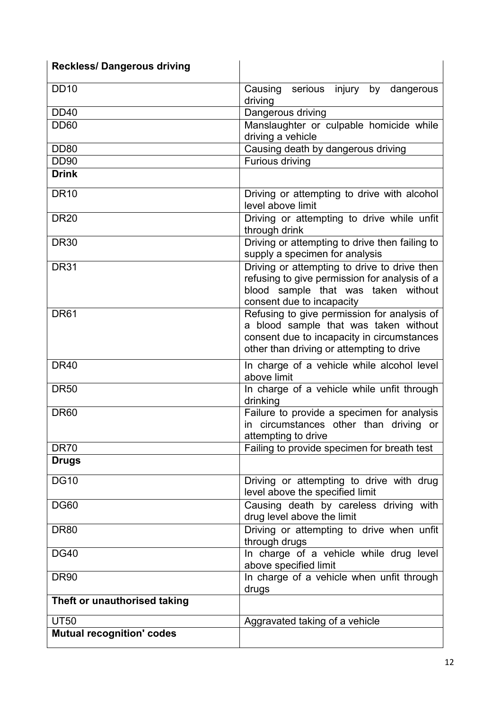| <b>Reckless/Dangerous driving</b> |                                                                                                                                                                                 |  |  |
|-----------------------------------|---------------------------------------------------------------------------------------------------------------------------------------------------------------------------------|--|--|
| <b>DD10</b>                       | Causing serious injury<br>by<br>dangerous<br>driving                                                                                                                            |  |  |
| <b>DD40</b>                       | Dangerous driving                                                                                                                                                               |  |  |
| <b>DD60</b>                       | Manslaughter or culpable homicide while<br>driving a vehicle                                                                                                                    |  |  |
| <b>DD80</b>                       | Causing death by dangerous driving                                                                                                                                              |  |  |
| <b>DD90</b>                       | <b>Furious driving</b>                                                                                                                                                          |  |  |
| <b>Drink</b>                      |                                                                                                                                                                                 |  |  |
| <b>DR10</b>                       | Driving or attempting to drive with alcohol<br>level above limit                                                                                                                |  |  |
| <b>DR20</b>                       | Driving or attempting to drive while unfit<br>through drink                                                                                                                     |  |  |
| <b>DR30</b>                       | Driving or attempting to drive then failing to<br>supply a specimen for analysis                                                                                                |  |  |
| <b>DR31</b>                       | Driving or attempting to drive to drive then<br>refusing to give permission for analysis of a<br>blood sample that was taken without<br>consent due to incapacity               |  |  |
| <b>DR61</b>                       | Refusing to give permission for analysis of<br>a blood sample that was taken without<br>consent due to incapacity in circumstances<br>other than driving or attempting to drive |  |  |
| <b>DR40</b>                       | In charge of a vehicle while alcohol level<br>above limit                                                                                                                       |  |  |
| <b>DR50</b>                       | In charge of a vehicle while unfit through<br>drinking                                                                                                                          |  |  |
| <b>DR60</b>                       | Failure to provide a specimen for analysis<br>in circumstances other than driving or<br>attempting to drive                                                                     |  |  |
| <b>DR70</b>                       | Failing to provide specimen for breath test                                                                                                                                     |  |  |
| <b>Drugs</b>                      |                                                                                                                                                                                 |  |  |
| <b>DG10</b>                       | Driving or attempting to drive with drug<br>level above the specified limit                                                                                                     |  |  |
| <b>DG60</b>                       | Causing death by careless driving with<br>drug level above the limit                                                                                                            |  |  |
| <b>DR80</b>                       | Driving or attempting to drive when unfit<br>through drugs                                                                                                                      |  |  |
| <b>DG40</b>                       | In charge of a vehicle while drug level<br>above specified limit                                                                                                                |  |  |
| <b>DR90</b>                       | In charge of a vehicle when unfit through<br>drugs                                                                                                                              |  |  |
| Theft or unauthorised taking      |                                                                                                                                                                                 |  |  |
| <b>UT50</b>                       | Aggravated taking of a vehicle                                                                                                                                                  |  |  |
| <b>Mutual recognition' codes</b>  |                                                                                                                                                                                 |  |  |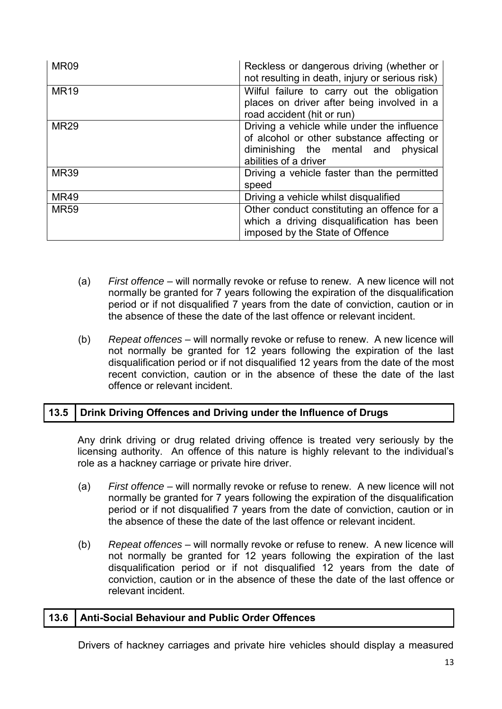| <b>MR09</b> | Reckless or dangerous driving (whether or<br>not resulting in death, injury or serious risk)                                                                 |
|-------------|--------------------------------------------------------------------------------------------------------------------------------------------------------------|
| <b>MR19</b> | Wilful failure to carry out the obligation<br>places on driver after being involved in a<br>road accident (hit or run)                                       |
| <b>MR29</b> | Driving a vehicle while under the influence<br>of alcohol or other substance affecting or<br>diminishing the mental and<br>physical<br>abilities of a driver |
| <b>MR39</b> | Driving a vehicle faster than the permitted<br>speed                                                                                                         |
| <b>MR49</b> | Driving a vehicle whilst disqualified                                                                                                                        |
| <b>MR59</b> | Other conduct constituting an offence for a<br>which a driving disqualification has been<br>imposed by the State of Offence                                  |

- (a) *First offence* will normally revoke or refuse to renew. A new licence will not normally be granted for 7 years following the expiration of the disqualification period or if not disqualified 7 years from the date of conviction, caution or in the absence of these the date of the last offence or relevant incident.
- (b) *Repeat offences* will normally revoke or refuse to renew. A new licence will not normally be granted for 12 years following the expiration of the last disqualification period or if not disqualified 12 years from the date of the most recent conviction, caution or in the absence of these the date of the last offence or relevant incident.

# **13.5 Drink Driving Offences and Driving under the Influence of Drugs**

Any drink driving or drug related driving offence is treated very seriously by the licensing authority. An offence of this nature is highly relevant to the individual's role as a hackney carriage or private hire driver.

- (a) *First offence* will normally revoke or refuse to renew. A new licence will not normally be granted for 7 years following the expiration of the disqualification period or if not disqualified 7 years from the date of conviction, caution or in the absence of these the date of the last offence or relevant incident.
- (b) *Repeat offences* will normally revoke or refuse to renew. A new licence will not normally be granted for 12 years following the expiration of the last disqualification period or if not disqualified 12 years from the date of conviction, caution or in the absence of these the date of the last offence or relevant incident.

## **13.6 Anti-Social Behaviour and Public Order Offences**

Drivers of hackney carriages and private hire vehicles should display a measured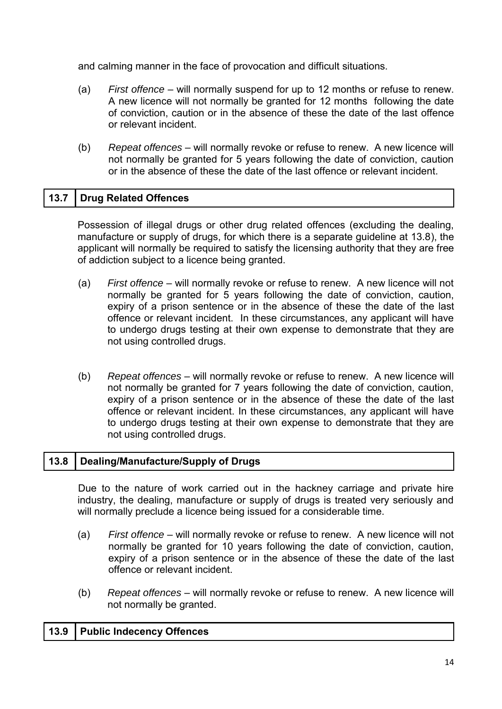and calming manner in the face of provocation and difficult situations.

- (a) *First offence* will normally suspend for up to 12 months or refuse to renew. A new licence will not normally be granted for 12 months following the date of conviction, caution or in the absence of these the date of the last offence or relevant incident.
- (b) *Repeat offences* will normally revoke or refuse to renew. A new licence will not normally be granted for 5 years following the date of conviction, caution or in the absence of these the date of the last offence or relevant incident.

# **13.7 Drug Related Offences**

Possession of illegal drugs or other drug related offences (excluding the dealing, manufacture or supply of drugs, for which there is a separate guideline at 13.8), the applicant will normally be required to satisfy the licensing authority that they are free of addiction subject to a licence being granted.

- (a) *First offence* will normally revoke or refuse to renew. A new licence will not normally be granted for 5 years following the date of conviction, caution, expiry of a prison sentence or in the absence of these the date of the last offence or relevant incident. In these circumstances, any applicant will have to undergo drugs testing at their own expense to demonstrate that they are not using controlled drugs.
- (b) *Repeat offences* will normally revoke or refuse to renew. A new licence will not normally be granted for 7 years following the date of conviction, caution, expiry of a prison sentence or in the absence of these the date of the last offence or relevant incident. In these circumstances, any applicant will have to undergo drugs testing at their own expense to demonstrate that they are not using controlled drugs.

#### **13.8 Dealing/Manufacture/Supply of Drugs**

 Due to the nature of work carried out in the hackney carriage and private hire industry, the dealing, manufacture or supply of drugs is treated very seriously and will normally preclude a licence being issued for a considerable time.

- (a) *First offence* will normally revoke or refuse to renew. A new licence will not normally be granted for 10 years following the date of conviction, caution, expiry of a prison sentence or in the absence of these the date of the last offence or relevant incident.
- (b) *Repeat offences* will normally revoke or refuse to renew. A new licence will not normally be granted.

## **13.9 Public Indecency Offences**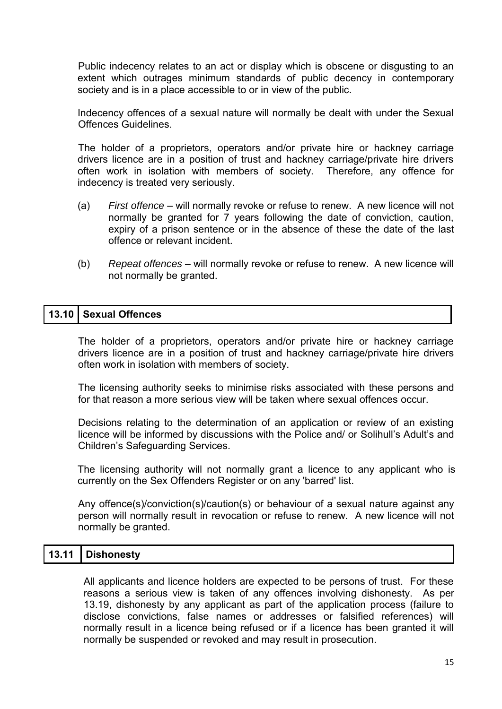Public indecency relates to an act or display which is obscene or disgusting to an extent which outrages minimum standards of public decency in contemporary society and is in a place accessible to or in view of the public.

Indecency offences of a sexual nature will normally be dealt with under the Sexual Offences Guidelines.

The holder of a proprietors, operators and/or private hire or hackney carriage drivers licence are in a position of trust and hackney carriage/private hire drivers often work in isolation with members of society. Therefore, any offence for indecency is treated very seriously.

- (a) *First offence* will normally revoke or refuse to renew. A new licence will not normally be granted for 7 years following the date of conviction, caution, expiry of a prison sentence or in the absence of these the date of the last offence or relevant incident.
- (b) *Repeat offences* will normally revoke or refuse to renew. A new licence will not normally be granted.

#### **13.10 Sexual Offences**

The holder of a proprietors, operators and/or private hire or hackney carriage drivers licence are in a position of trust and hackney carriage/private hire drivers often work in isolation with members of society.

The licensing authority seeks to minimise risks associated with these persons and for that reason a more serious view will be taken where sexual offences occur.

Decisions relating to the determination of an application or review of an existing licence will be informed by discussions with the Police and/ or Solihull's Adult's and Children's Safeguarding Services.

 The licensing authority will not normally grant a licence to any applicant who is currently on the Sex Offenders Register or on any 'barred' list.

Any offence(s)/conviction(s)/caution(s) or behaviour of a sexual nature against any person will normally result in revocation or refuse to renew. A new licence will not normally be granted.

## **13.11 Dishonesty**

All applicants and licence holders are expected to be persons of trust. For these reasons a serious view is taken of any offences involving dishonesty. As per 13.19, dishonesty by any applicant as part of the application process (failure to disclose convictions, false names or addresses or falsified references) will normally result in a licence being refused or if a licence has been granted it will normally be suspended or revoked and may result in prosecution.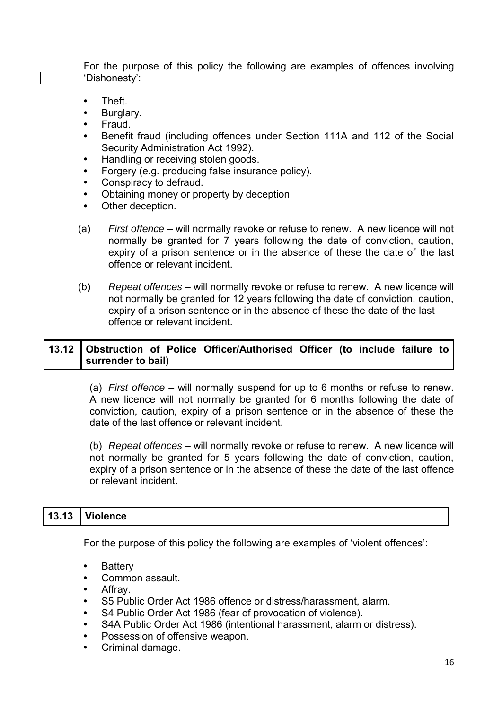For the purpose of this policy the following are examples of offences involving 'Dishonesty':

- Theft
- Burglary.
- Fraud.
- Benefit fraud (including offences under Section 111A and 112 of the Social Security Administration Act 1992).
- Handling or receiving stolen goods.
- Forgery (e.g. producing false insurance policy).
- Conspiracy to defraud.
- Obtaining money or property by deception
- Other deception.
- (a) *First offence* will normally revoke or refuse to renew. A new licence will not normally be granted for 7 years following the date of conviction, caution, expiry of a prison sentence or in the absence of these the date of the last offence or relevant incident.
- (b) *Repeat offences* will normally revoke or refuse to renew. A new licence will not normally be granted for 12 years following the date of conviction, caution, expiry of a prison sentence or in the absence of these the date of the last offence or relevant incident.

## **13.12 Obstruction of Police Officer/Authorised Officer (to include failure to surrender to bail)**

(a) *First offence* – will normally suspend for up to 6 months or refuse to renew. A new licence will not normally be granted for 6 months following the date of conviction, caution, expiry of a prison sentence or in the absence of these the date of the last offence or relevant incident.

(b) *Repeat offences* – will normally revoke or refuse to renew. A new licence will not normally be granted for 5 years following the date of conviction, caution, expiry of a prison sentence or in the absence of these the date of the last offence or relevant incident.

## **13.13 Violence**

For the purpose of this policy the following are examples of 'violent offences':

- Battery
- Common assault.
- Affray.
- S5 Public Order Act 1986 offence or distress/harassment, alarm.
- S4 Public Order Act 1986 (fear of provocation of violence).
- S4A Public Order Act 1986 (intentional harassment, alarm or distress).
- Possession of offensive weapon.
- Criminal damage.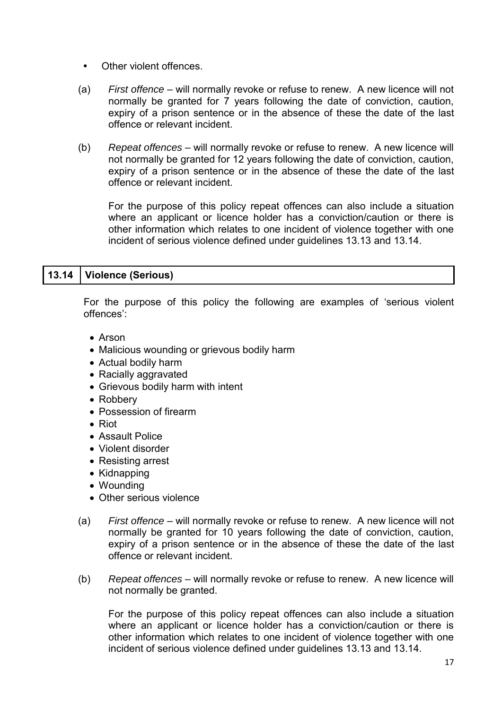- Other violent offences.
- (a) *First offence* will normally revoke or refuse to renew. A new licence will not normally be granted for 7 years following the date of conviction, caution, expiry of a prison sentence or in the absence of these the date of the last offence or relevant incident.
- (b) *Repeat offences* will normally revoke or refuse to renew. A new licence will not normally be granted for 12 years following the date of conviction, caution, expiry of a prison sentence or in the absence of these the date of the last offence or relevant incident.

 For the purpose of this policy repeat offences can also include a situation where an applicant or licence holder has a conviction/caution or there is other information which relates to one incident of violence together with one incident of serious violence defined under guidelines 13.13 and 13.14.

## **13.14 Violence (Serious)**

For the purpose of this policy the following are examples of 'serious violent offences':

- Arson
- Malicious wounding or grievous bodily harm
- Actual bodily harm
- Racially aggravated
- Grievous bodily harm with intent
- Robbery
- Possession of firearm
- Riot
- Assault Police
- Violent disorder
- Resisting arrest
- Kidnapping
- Wounding
- Other serious violence
- (a) *First offence* will normally revoke or refuse to renew. A new licence will not normally be granted for 10 years following the date of conviction, caution, expiry of a prison sentence or in the absence of these the date of the last offence or relevant incident.
- (b) *Repeat offences* will normally revoke or refuse to renew. A new licence will not normally be granted.

 For the purpose of this policy repeat offences can also include a situation where an applicant or licence holder has a conviction/caution or there is other information which relates to one incident of violence together with one incident of serious violence defined under guidelines 13.13 and 13.14.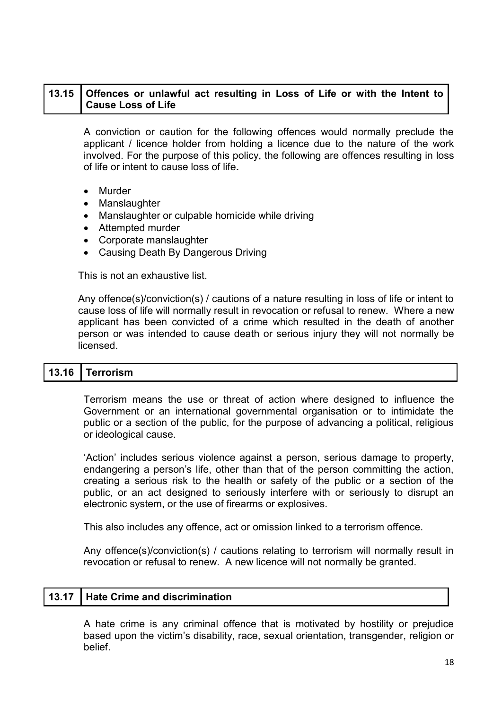### **13.15 Offences or unlawful act resulting in Loss of Life or with the Intent to Cause Loss of Life**

A conviction or caution for the following offences would normally preclude the applicant / licence holder from holding a licence due to the nature of the work involved. For the purpose of this policy, the following are offences resulting in loss of life or intent to cause loss of life**.**

- Murder
- Manslaughter
- Manslaughter or culpable homicide while driving
- Attempted murder
- Corporate manslaughter
- Causing Death By Dangerous Driving

This is not an exhaustive list.

Any offence(s)/conviction(s) / cautions of a nature resulting in loss of life or intent to cause loss of life will normally result in revocation or refusal to renew. Where a new applicant has been convicted of a crime which resulted in the death of another person or was intended to cause death or serious injury they will not normally be licensed.

#### **13.16 Terrorism**

Terrorism means the use or threat of action where designed to influence the Government or an international governmental organisation or to intimidate the public or a section of the public, for the purpose of advancing a political, religious or ideological cause.

'Action' includes serious violence against a person, serious damage to property, endangering a person's life, other than that of the person committing the action, creating a serious risk to the health or safety of the public or a section of the public, or an act designed to seriously interfere with or seriously to disrupt an electronic system, or the use of firearms or explosives.

This also includes any offence, act or omission linked to a terrorism offence.

Any offence(s)/conviction(s) / cautions relating to terrorism will normally result in revocation or refusal to renew. A new licence will not normally be granted.

#### **13.17 Hate Crime and discrimination**

A hate crime is any criminal offence that is motivated by hostility or prejudice based upon the victim's disability, race, sexual orientation, transgender, religion or belief.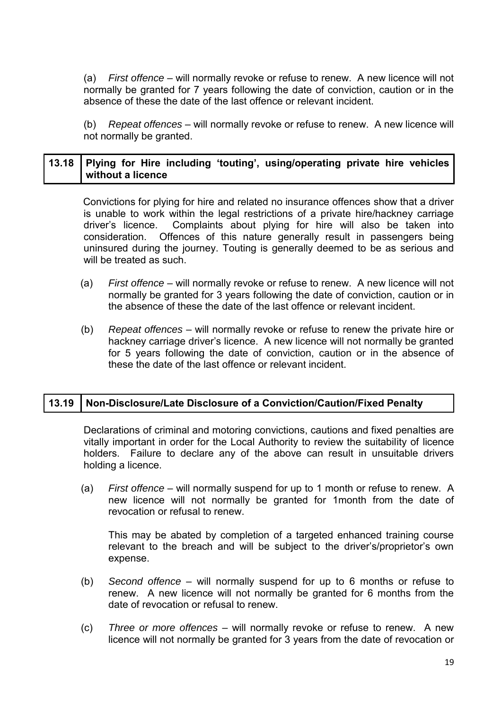(a) *First offence* – will normally revoke or refuse to renew. A new licence will not normally be granted for 7 years following the date of conviction, caution or in the absence of these the date of the last offence or relevant incident.

(b) *Repeat offences* – will normally revoke or refuse to renew. A new licence will not normally be granted.

## **13.18 Plying for Hire including 'touting', using/operating private hire vehicles without a licence**

Convictions for plying for hire and related no insurance offences show that a driver is unable to work within the legal restrictions of a private hire/hackney carriage driver's licence. Complaints about plying for hire will also be taken into consideration. Offences of this nature generally result in passengers being uninsured during the journey. Touting is generally deemed to be as serious and will be treated as such.

- (a) *First offence* will normally revoke or refuse to renew. A new licence will not normally be granted for 3 years following the date of conviction, caution or in the absence of these the date of the last offence or relevant incident.
- (b) *Repeat offences* will normally revoke or refuse to renew the private hire or hackney carriage driver's licence. A new licence will not normally be granted for 5 years following the date of conviction, caution or in the absence of these the date of the last offence or relevant incident.

## **13.19 Non-Disclosure/Late Disclosure of a Conviction/Caution/Fixed Penalty**

Declarations of criminal and motoring convictions, cautions and fixed penalties are vitally important in order for the Local Authority to review the suitability of licence holders. Failure to declare any of the above can result in unsuitable drivers holding a licence.

 (a) *First offence* – will normally suspend for up to 1 month or refuse to renew. A new licence will not normally be granted for 1month from the date of revocation or refusal to renew.

 This may be abated by completion of a targeted enhanced training course relevant to the breach and will be subject to the driver's/proprietor's own expense.

- (b) *Second offence* will normally suspend for up to 6 months or refuse to renew. A new licence will not normally be granted for 6 months from the date of revocation or refusal to renew.
- (c) *Three or more offences* will normally revoke or refuse to renew. A new licence will not normally be granted for 3 years from the date of revocation or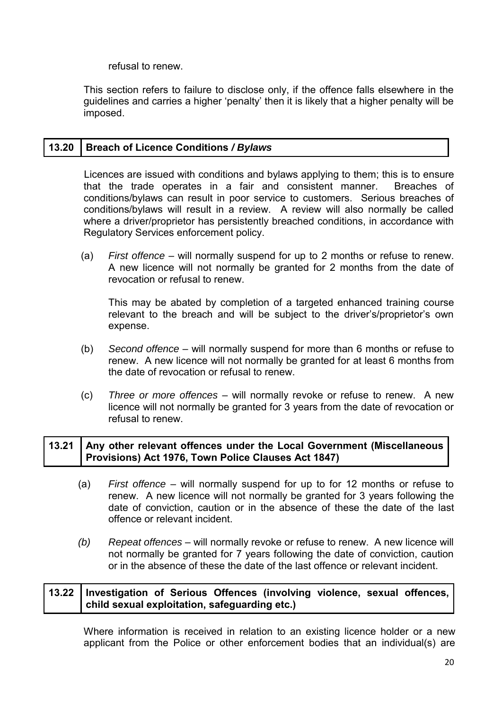refusal to renew.

This section refers to failure to disclose only, if the offence falls elsewhere in the guidelines and carries a higher 'penalty' then it is likely that a higher penalty will be imposed.

## **13.20 Breach of Licence Conditions** */ Bylaws*

Licences are issued with conditions and bylaws applying to them; this is to ensure that the trade operates in a fair and consistent manner. Breaches of conditions/bylaws can result in poor service to customers. Serious breaches of conditions/bylaws will result in a review. A review will also normally be called where a driver/proprietor has persistently breached conditions, in accordance with Regulatory Services enforcement policy.

 (a) *First offence* – will normally suspend for up to 2 months or refuse to renew. A new licence will not normally be granted for 2 months from the date of revocation or refusal to renew.

 This may be abated by completion of a targeted enhanced training course relevant to the breach and will be subject to the driver's/proprietor's own expense.

- (b) *Second offence* will normally suspend for more than 6 months or refuse to renew. A new licence will not normally be granted for at least 6 months from the date of revocation or refusal to renew.
- (c) *Three or more offences* will normally revoke or refuse to renew. A new licence will not normally be granted for 3 years from the date of revocation or refusal to renew.

### **13.21 Any other relevant offences under the Local Government (Miscellaneous Provisions) Act 1976, Town Police Clauses Act 1847)**

- (a) *First offence* will normally suspend for up to for 12 months or refuse to renew. A new licence will not normally be granted for 3 years following the date of conviction, caution or in the absence of these the date of the last offence or relevant incident.
- *(b) Repeat offences* will normally revoke or refuse to renew. A new licence will not normally be granted for 7 years following the date of conviction, caution or in the absence of these the date of the last offence or relevant incident.

### **13.22 Investigation of Serious Offences (involving violence, sexual offences, child sexual exploitation, safeguarding etc.)**

Where information is received in relation to an existing licence holder or a new applicant from the Police or other enforcement bodies that an individual(s) are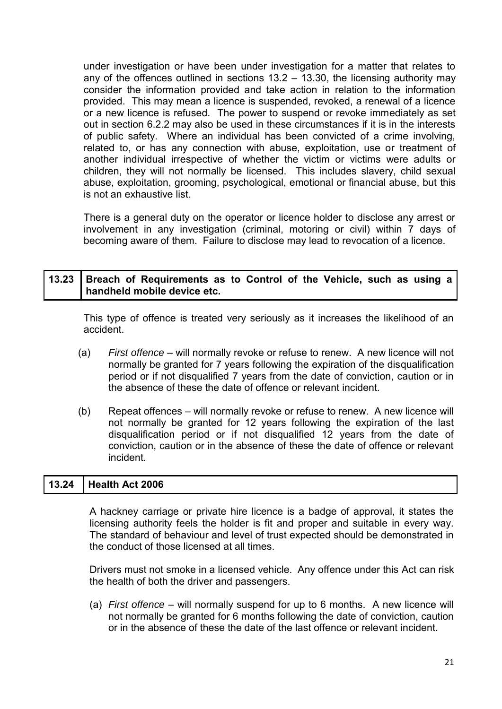under investigation or have been under investigation for a matter that relates to any of the offences outlined in sections 13.2 – 13.30, the licensing authority may consider the information provided and take action in relation to the information provided. This may mean a licence is suspended, revoked, a renewal of a licence or a new licence is refused. The power to suspend or revoke immediately as set out in section 6.2.2 may also be used in these circumstances if it is in the interests of public safety. Where an individual has been convicted of a crime involving, related to, or has any connection with abuse, exploitation, use or treatment of another individual irrespective of whether the victim or victims were adults or children, they will not normally be licensed. This includes slavery, child sexual abuse, exploitation, grooming, psychological, emotional or financial abuse, but this is not an exhaustive list.

There is a general duty on the operator or licence holder to disclose any arrest or involvement in any investigation (criminal, motoring or civil) within 7 days of becoming aware of them. Failure to disclose may lead to revocation of a licence.

## **13.23 Breach of Requirements as to Control of the Vehicle, such as using a handheld mobile device etc.**

This type of offence is treated very seriously as it increases the likelihood of an accident.

- (a) *First offence* will normally revoke or refuse to renew. A new licence will not normally be granted for 7 years following the expiration of the disqualification period or if not disqualified 7 years from the date of conviction, caution or in the absence of these the date of offence or relevant incident.
- (b) Repeat offences will normally revoke or refuse to renew. A new licence will not normally be granted for 12 years following the expiration of the last disqualification period or if not disqualified 12 years from the date of conviction, caution or in the absence of these the date of offence or relevant incident.

## **13.24 Health Act 2006**

A hackney carriage or private hire licence is a badge of approval, it states the licensing authority feels the holder is fit and proper and suitable in every way*.*  The standard of behaviour and level of trust expected should be demonstrated in the conduct of those licensed at all times.

Drivers must not smoke in a licensed vehicle. Any offence under this Act can risk the health of both the driver and passengers.

(a) *First offence* – will normally suspend for up to 6 months. A new licence will not normally be granted for 6 months following the date of conviction, caution or in the absence of these the date of the last offence or relevant incident.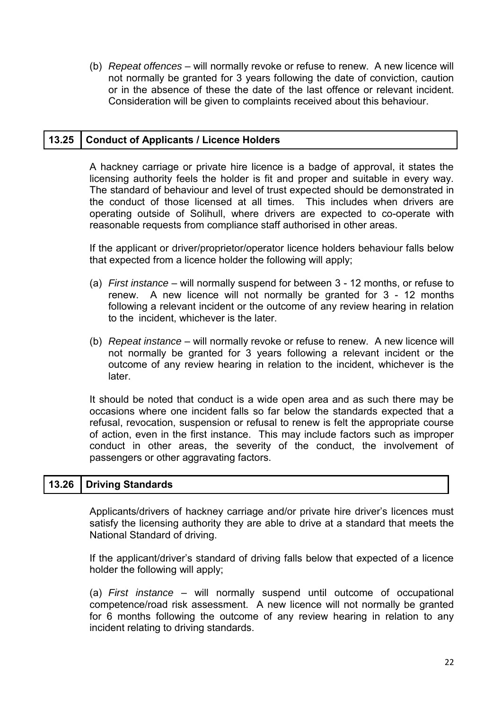(b) *Repeat offences* – will normally revoke or refuse to renew. A new licence will not normally be granted for 3 years following the date of conviction, caution or in the absence of these the date of the last offence or relevant incident. Consideration will be given to complaints received about this behaviour.

#### **13.25 Conduct of Applicants / Licence Holders**

A hackney carriage or private hire licence is a badge of approval, it states the licensing authority feels the holder is fit and proper and suitable in every way*.*  The standard of behaviour and level of trust expected should be demonstrated in the conduct of those licensed at all times. This includes when drivers are operating outside of Solihull, where drivers are expected to co-operate with reasonable requests from compliance staff authorised in other areas.

If the applicant or driver/proprietor/operator licence holders behaviour falls below that expected from a licence holder the following will apply;

- (a) *First instance* will normally suspend for between 3 12 months, or refuse to renew. A new licence will not normally be granted for 3 - 12 months following a relevant incident or the outcome of any review hearing in relation to the incident, whichever is the later.
- (b) *Repeat instance* will normally revoke or refuse to renew. A new licence will not normally be granted for 3 years following a relevant incident or the outcome of any review hearing in relation to the incident, whichever is the later.

It should be noted that conduct is a wide open area and as such there may be occasions where one incident falls so far below the standards expected that a refusal, revocation, suspension or refusal to renew is felt the appropriate course of action, even in the first instance. This may include factors such as improper conduct in other areas, the severity of the conduct, the involvement of passengers or other aggravating factors.

## **13.26 Driving Standards**

Applicants/drivers of hackney carriage and/or private hire driver's licences must satisfy the licensing authority they are able to drive at a standard that meets the National Standard of driving.

If the applicant/driver's standard of driving falls below that expected of a licence holder the following will apply;

(a) *First instance* – will normally suspend until outcome of occupational competence/road risk assessment. A new licence will not normally be granted for 6 months following the outcome of any review hearing in relation to any incident relating to driving standards.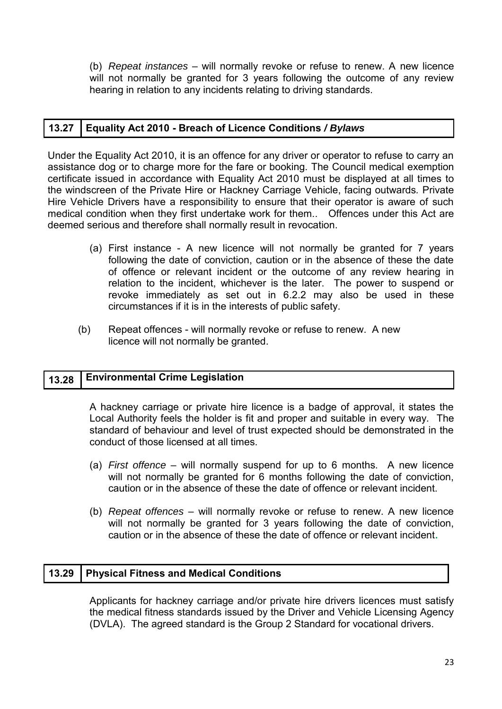(b) *Repeat instances* – will normally revoke or refuse to renew. A new licence will not normally be granted for 3 years following the outcome of any review hearing in relation to any incidents relating to driving standards.

## **13.27 Equality Act 2010 - Breach of Licence Conditions** */ Bylaws*

Under the Equality Act 2010, it is an offence for any driver or operator to refuse to carry an assistance dog or to charge more for the fare or booking. The Council medical exemption certificate issued in accordance with Equality Act 2010 must be displayed at all times to the windscreen of the Private Hire or Hackney Carriage Vehicle, facing outwards*.* Private Hire Vehicle Drivers have a responsibility to ensure that their operator is aware of such medical condition when they first undertake work for them.. Offences under this Act are deemed serious and therefore shall normally result in revocation.

- (a) First instance A new licence will not normally be granted for 7 years following the date of conviction, caution or in the absence of these the date of offence or relevant incident or the outcome of any review hearing in relation to the incident, whichever is the later. The power to suspend or revoke immediately as set out in 6.2.2 may also be used in these circumstances if it is in the interests of public safety.
- (b) Repeat offences will normally revoke or refuse to renew. A new licence will not normally be granted.

## **13.28 Environmental Crime Legislation**

A hackney carriage or private hire licence is a badge of approval, it states the Local Authority feels the holder is fit and proper and suitable in every way*.* The standard of behaviour and level of trust expected should be demonstrated in the conduct of those licensed at all times.

- (a) *First offence* will normally suspend for up to 6 months. A new licence will not normally be granted for 6 months following the date of conviction, caution or in the absence of these the date of offence or relevant incident.
- (b) *Repeat offences* will normally revoke or refuse to renew. A new licence will not normally be granted for 3 years following the date of conviction, caution or in the absence of these the date of offence or relevant incident**.**

# **13.29 Physical Fitness and Medical Conditions**

Applicants for hackney carriage and/or private hire drivers licences must satisfy the medical fitness standards issued by the Driver and Vehicle Licensing Agency (DVLA). The agreed standard is the Group 2 Standard for vocational drivers.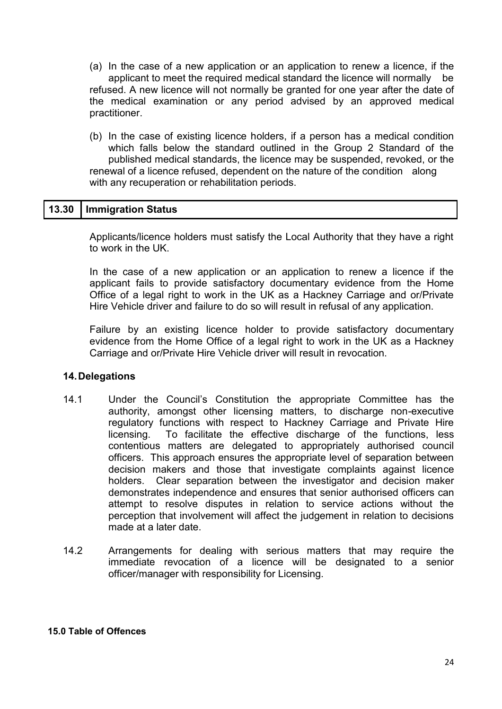- (a) In the case of a new application or an application to renew a licence, if the applicant to meet the required medical standard the licence will normally be refused. A new licence will not normally be granted for one year after the date of the medical examination or any period advised by an approved medical practitioner.
- (b) In the case of existing licence holders, if a person has a medical condition which falls below the standard outlined in the Group 2 Standard of the published medical standards, the licence may be suspended, revoked, or the renewal of a licence refused, dependent on the nature of the condition along with any recuperation or rehabilitation periods.

#### **13.30 Immigration Status**

Applicants/licence holders must satisfy the Local Authority that they have a right to work in the UK.

In the case of a new application or an application to renew a licence if the applicant fails to provide satisfactory documentary evidence from the Home Office of a legal right to work in the UK as a Hackney Carriage and or/Private Hire Vehicle driver and failure to do so will result in refusal of any application.

Failure by an existing licence holder to provide satisfactory documentary evidence from the Home Office of a legal right to work in the UK as a Hackney Carriage and or/Private Hire Vehicle driver will result in revocation.

#### **14. Delegations**

- 14.1 Under the Council's Constitution the appropriate Committee has the authority, amongst other licensing matters, to discharge non-executive regulatory functions with respect to Hackney Carriage and Private Hire licensing. To facilitate the effective discharge of the functions, less contentious matters are delegated to appropriately authorised council officers. This approach ensures the appropriate level of separation between decision makers and those that investigate complaints against licence holders. Clear separation between the investigator and decision maker demonstrates independence and ensures that senior authorised officers can attempt to resolve disputes in relation to service actions without the perception that involvement will affect the judgement in relation to decisions made at a later date.
- 14.2 Arrangements for dealing with serious matters that may require the immediate revocation of a licence will be designated to a senior officer/manager with responsibility for Licensing.

#### **15.0 Table of Offences**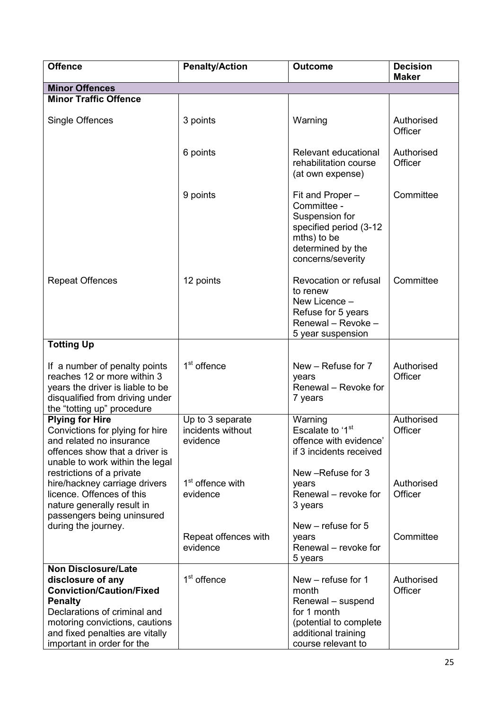| <b>Offence</b>                                                                                                                                                                                                                          | <b>Penalty/Action</b>                             | <b>Outcome</b>                                                                                                                         | <b>Decision</b><br><b>Maker</b> |
|-----------------------------------------------------------------------------------------------------------------------------------------------------------------------------------------------------------------------------------------|---------------------------------------------------|----------------------------------------------------------------------------------------------------------------------------------------|---------------------------------|
| <b>Minor Offences</b>                                                                                                                                                                                                                   |                                                   |                                                                                                                                        |                                 |
| <b>Minor Traffic Offence</b>                                                                                                                                                                                                            |                                                   |                                                                                                                                        |                                 |
| Single Offences                                                                                                                                                                                                                         | 3 points                                          | Warning                                                                                                                                | Authorised<br>Officer           |
|                                                                                                                                                                                                                                         | 6 points                                          | Relevant educational<br>rehabilitation course<br>(at own expense)                                                                      | Authorised<br>Officer           |
|                                                                                                                                                                                                                                         | 9 points                                          | Fit and Proper -<br>Committee -<br>Suspension for<br>specified period (3-12<br>mths) to be<br>determined by the<br>concerns/severity   | Committee                       |
| <b>Repeat Offences</b>                                                                                                                                                                                                                  | 12 points                                         | Revocation or refusal<br>to renew<br>New Licence -<br>Refuse for 5 years<br>Renewal - Revoke -<br>5 year suspension                    | Committee                       |
| <b>Totting Up</b>                                                                                                                                                                                                                       |                                                   |                                                                                                                                        |                                 |
| If a number of penalty points<br>reaches 12 or more within 3<br>years the driver is liable to be<br>disqualified from driving under<br>the "totting up" procedure                                                                       | 1 <sup>st</sup> offence                           | New - Refuse for 7<br>years<br>Renewal - Revoke for<br>7 years                                                                         | Authorised<br>Officer           |
| <b>Plying for Hire</b><br>Convictions for plying for hire<br>and related no insurance<br>offences show that a driver is<br>unable to work within the legal                                                                              | Up to 3 separate<br>incidents without<br>evidence | Warning<br>Escalate to '1 <sup>st</sup><br>offence with evidence'<br>if 3 incidents received                                           | Authorised<br>Officer           |
| restrictions of a private<br>hire/hackney carriage drivers<br>licence. Offences of this<br>nature generally result in<br>passengers being uninsured                                                                                     | 1 <sup>st</sup> offence with<br>evidence          | New -Refuse for 3<br>years<br>Renewal - revoke for<br>3 years                                                                          | Authorised<br>Officer           |
| during the journey.                                                                                                                                                                                                                     | Repeat offences with<br>evidence                  | New $-$ refuse for 5<br>years<br>Renewal - revoke for<br>5 years                                                                       | Committee                       |
| <b>Non Disclosure/Late</b><br>disclosure of any<br><b>Conviction/Caution/Fixed</b><br><b>Penalty</b><br>Declarations of criminal and<br>motoring convictions, cautions<br>and fixed penalties are vitally<br>important in order for the | 1 <sup>st</sup> offence                           | New - refuse for 1<br>month<br>Renewal - suspend<br>for 1 month<br>(potential to complete<br>additional training<br>course relevant to | Authorised<br>Officer           |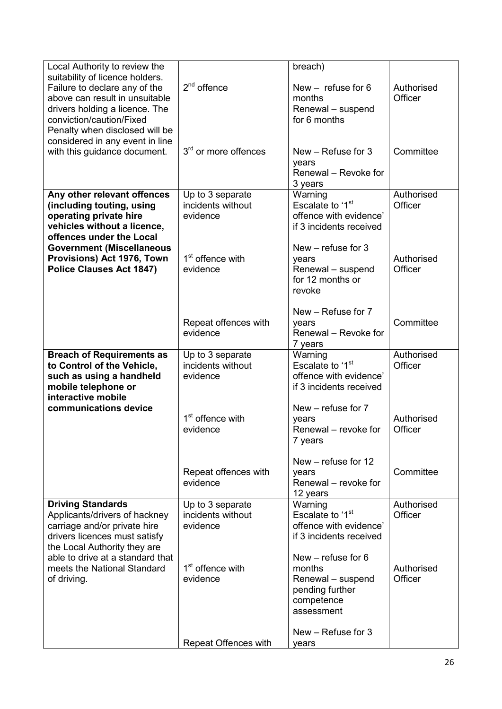| Local Authority to review the<br>suitability of licence holders.<br>Failure to declare any of the<br>above can result in unsuitable                        | $2nd$ offence                                     | breach)<br>New $-$ refuse for 6<br>months                                                          | Authorised<br>Officer |
|------------------------------------------------------------------------------------------------------------------------------------------------------------|---------------------------------------------------|----------------------------------------------------------------------------------------------------|-----------------------|
| drivers holding a licence. The<br>conviction/caution/Fixed<br>Penalty when disclosed will be                                                               |                                                   | Renewal - suspend<br>for 6 months                                                                  |                       |
| considered in any event in line<br>with this guidance document.                                                                                            | 3 <sup>rd</sup> or more offences                  | New $-$ Refuse for 3<br>years<br>Renewal - Revoke for<br>3 years                                   | Committee             |
| Any other relevant offences<br>(including touting, using<br>operating private hire<br>vehicles without a licence,<br>offences under the Local              | Up to 3 separate<br>incidents without<br>evidence | Warning<br>Escalate to '1 <sup>st</sup><br>offence with evidence'<br>if 3 incidents received       | Authorised<br>Officer |
| <b>Government (Miscellaneous</b><br>Provisions) Act 1976, Town<br><b>Police Clauses Act 1847)</b>                                                          | 1 <sup>st</sup> offence with<br>evidence          | New $-$ refuse for 3<br>years<br>Renewal - suspend<br>for 12 months or<br>revoke                   | Authorised<br>Officer |
|                                                                                                                                                            | Repeat offences with<br>evidence                  | New - Refuse for 7<br>years<br>Renewal - Revoke for<br>7 years                                     | Committee             |
| <b>Breach of Requirements as</b><br>to Control of the Vehicle,<br>such as using a handheld<br>mobile telephone or<br>interactive mobile                    | Up to 3 separate<br>incidents without<br>evidence | Warning<br>Escalate to '1 <sup>st</sup><br>offence with evidence'<br>if 3 incidents received       | Authorised<br>Officer |
| communications device                                                                                                                                      | 1 <sup>st</sup> offence with<br>evidence          | New – refuse for 7<br>years<br>Renewal – revoke for<br>7 years                                     | Authorised<br>Officer |
|                                                                                                                                                            | Repeat offences with<br>evidence                  | New - refuse for 12<br>years<br>Renewal – revoke for<br>12 years                                   | Committee             |
| <b>Driving Standards</b><br>Applicants/drivers of hackney<br>carriage and/or private hire<br>drivers licences must satisfy<br>the Local Authority they are | Up to 3 separate<br>incidents without<br>evidence | Warning<br>Escalate to '1 <sup>st</sup><br>offence with evidence'<br>if 3 incidents received       | Authorised<br>Officer |
| able to drive at a standard that<br>meets the National Standard<br>of driving.                                                                             | 1 <sup>st</sup> offence with<br>evidence          | New $-$ refuse for 6<br>months<br>Renewal - suspend<br>pending further<br>competence<br>assessment | Authorised<br>Officer |
|                                                                                                                                                            | Repeat Offences with                              | New - Refuse for 3<br>years                                                                        |                       |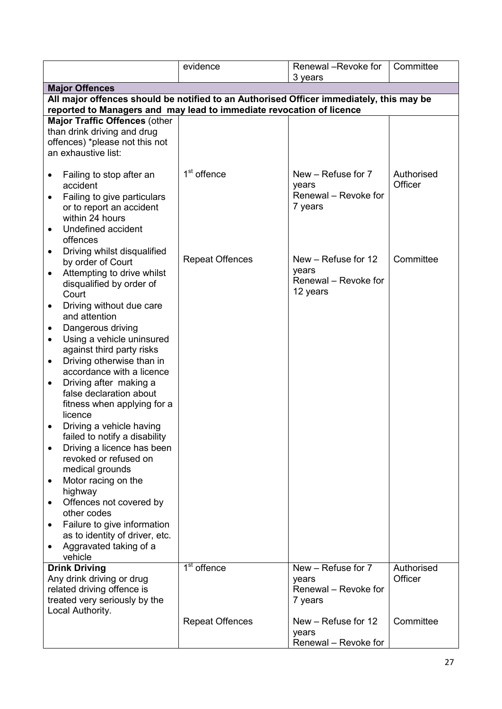|                                                                                                                                                                                                                                                                                                                                                                                                                                                                                                                                                                                                                                                                                                                                                                                                                     | evidence                | Renewal -Revoke for                                              | Committee             |
|---------------------------------------------------------------------------------------------------------------------------------------------------------------------------------------------------------------------------------------------------------------------------------------------------------------------------------------------------------------------------------------------------------------------------------------------------------------------------------------------------------------------------------------------------------------------------------------------------------------------------------------------------------------------------------------------------------------------------------------------------------------------------------------------------------------------|-------------------------|------------------------------------------------------------------|-----------------------|
| <b>Major Offences</b>                                                                                                                                                                                                                                                                                                                                                                                                                                                                                                                                                                                                                                                                                                                                                                                               |                         | 3 years                                                          |                       |
| All major offences should be notified to an Authorised Officer immediately, this may be                                                                                                                                                                                                                                                                                                                                                                                                                                                                                                                                                                                                                                                                                                                             |                         |                                                                  |                       |
| reported to Managers and may lead to immediate revocation of licence                                                                                                                                                                                                                                                                                                                                                                                                                                                                                                                                                                                                                                                                                                                                                |                         |                                                                  |                       |
| Major Traffic Offences (other<br>than drink driving and drug<br>offences) *please not this not<br>an exhaustive list:                                                                                                                                                                                                                                                                                                                                                                                                                                                                                                                                                                                                                                                                                               |                         |                                                                  |                       |
| Failing to stop after an<br>٠<br>accident<br>Failing to give particulars<br>or to report an accident<br>within 24 hours<br>Undefined accident<br>offences                                                                                                                                                                                                                                                                                                                                                                                                                                                                                                                                                                                                                                                           | 1 <sup>st</sup> offence | New - Refuse for 7<br>years<br>Renewal - Revoke for<br>7 years   | Authorised<br>Officer |
| Driving whilst disqualified<br>٠<br>by order of Court<br>Attempting to drive whilst<br>$\bullet$<br>disqualified by order of<br>Court<br>Driving without due care<br>$\bullet$<br>and attention<br>Dangerous driving<br>Using a vehicle uninsured<br>$\bullet$<br>against third party risks<br>Driving otherwise than in<br>$\bullet$<br>accordance with a licence<br>Driving after making a<br>$\bullet$<br>false declaration about<br>fitness when applying for a<br>licence<br>Driving a vehicle having<br>failed to notify a disability<br>Driving a licence has been<br>٠<br>revoked or refused on<br>medical grounds<br>Motor racing on the<br>٠<br>highway<br>Offences not covered by<br>other codes<br>Failure to give information<br>$\bullet$<br>as to identity of driver, etc.<br>Aggravated taking of a | <b>Repeat Offences</b>  | New – Refuse for 12<br>years<br>Renewal - Revoke for<br>12 years | Committee             |
| vehicle<br><b>Drink Driving</b><br>Any drink driving or drug<br>related driving offence is<br>treated very seriously by the                                                                                                                                                                                                                                                                                                                                                                                                                                                                                                                                                                                                                                                                                         | $1st$ offence           | New - Refuse for 7<br>years<br>Renewal - Revoke for<br>7 years   | Authorised<br>Officer |
| Local Authority.                                                                                                                                                                                                                                                                                                                                                                                                                                                                                                                                                                                                                                                                                                                                                                                                    | <b>Repeat Offences</b>  | New - Refuse for 12<br>years<br>Renewal - Revoke for             | Committee             |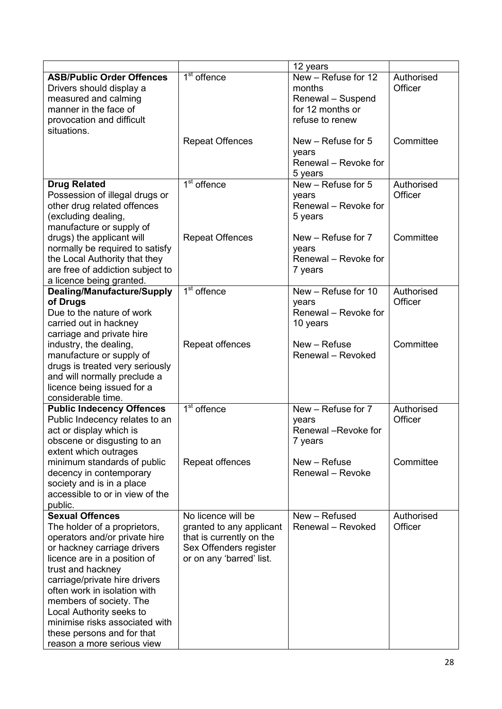|                                                                                                                                                                                                                                                                                                                                                                                                   |                                                                                                                                  | 12 years                                                                                  |                       |
|---------------------------------------------------------------------------------------------------------------------------------------------------------------------------------------------------------------------------------------------------------------------------------------------------------------------------------------------------------------------------------------------------|----------------------------------------------------------------------------------------------------------------------------------|-------------------------------------------------------------------------------------------|-----------------------|
| <b>ASB/Public Order Offences</b><br>Drivers should display a<br>measured and calming<br>manner in the face of<br>provocation and difficult<br>situations.                                                                                                                                                                                                                                         | 1 <sup>st</sup> offence                                                                                                          | New - Refuse for 12<br>months<br>Renewal - Suspend<br>for 12 months or<br>refuse to renew | Authorised<br>Officer |
|                                                                                                                                                                                                                                                                                                                                                                                                   | <b>Repeat Offences</b>                                                                                                           | New $-$ Refuse for 5<br>years<br>Renewal - Revoke for<br>5 years                          | Committee             |
| <b>Drug Related</b><br>Possession of illegal drugs or<br>other drug related offences<br>(excluding dealing,<br>manufacture or supply of                                                                                                                                                                                                                                                           | $1st$ offence                                                                                                                    | New - Refuse for 5<br>years<br>Renewal - Revoke for<br>5 years                            | Authorised<br>Officer |
| drugs) the applicant will<br>normally be required to satisfy<br>the Local Authority that they<br>are free of addiction subject to<br>a licence being granted.                                                                                                                                                                                                                                     | <b>Repeat Offences</b>                                                                                                           | New - Refuse for 7<br>years<br>Renewal - Revoke for<br>7 years                            | Committee             |
| <b>Dealing/Manufacture/Supply</b><br>of Drugs<br>Due to the nature of work<br>carried out in hackney<br>carriage and private hire                                                                                                                                                                                                                                                                 | $\overline{1^{st}}$ offence                                                                                                      | New - Refuse for 10<br>years<br>Renewal - Revoke for<br>10 years                          | Authorised<br>Officer |
| industry, the dealing,<br>manufacture or supply of<br>drugs is treated very seriously<br>and will normally preclude a<br>licence being issued for a<br>considerable time.                                                                                                                                                                                                                         | Repeat offences                                                                                                                  | New – Refuse<br>Renewal - Revoked                                                         | Committee             |
| <b>Public Indecency Offences</b><br>Public Indecency relates to an<br>act or display which is<br>obscene or disgusting to an<br>extent which outrages                                                                                                                                                                                                                                             | 1 <sup>st</sup> offence                                                                                                          | New - Refuse for 7<br>years<br>Renewal -Revoke for<br>7 years                             | Authorised<br>Officer |
| minimum standards of public<br>decency in contemporary<br>society and is in a place<br>accessible to or in view of the<br>public.                                                                                                                                                                                                                                                                 | Repeat offences                                                                                                                  | New - Refuse<br>Renewal - Revoke                                                          | Committee             |
| <b>Sexual Offences</b><br>The holder of a proprietors,<br>operators and/or private hire<br>or hackney carriage drivers<br>licence are in a position of<br>trust and hackney<br>carriage/private hire drivers<br>often work in isolation with<br>members of society. The<br>Local Authority seeks to<br>minimise risks associated with<br>these persons and for that<br>reason a more serious view | No licence will be<br>granted to any applicant<br>that is currently on the<br>Sex Offenders register<br>or on any 'barred' list. | New - Refused<br>Renewal - Revoked                                                        | Authorised<br>Officer |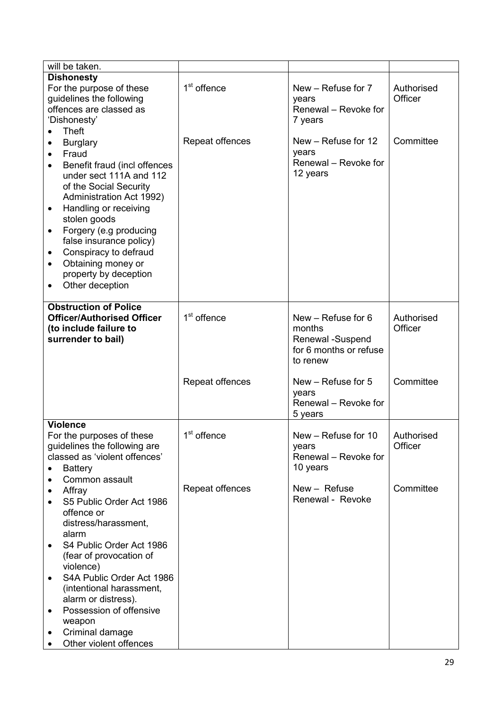| will be taken.                                                                                                                                                                                                                                                                                                                                                                   |                         |                                                                                          |                       |
|----------------------------------------------------------------------------------------------------------------------------------------------------------------------------------------------------------------------------------------------------------------------------------------------------------------------------------------------------------------------------------|-------------------------|------------------------------------------------------------------------------------------|-----------------------|
| <b>Dishonesty</b><br>For the purpose of these<br>guidelines the following<br>offences are classed as<br>'Dishonesty'<br><b>Theft</b>                                                                                                                                                                                                                                             | 1 <sup>st</sup> offence | New - Refuse for 7<br>years<br>Renewal - Revoke for<br>7 years                           | Authorised<br>Officer |
| <b>Burglary</b><br>٠<br>Fraud<br>$\bullet$<br>Benefit fraud (incl offences<br>under sect 111A and 112<br>of the Social Security<br>Administration Act 1992)<br>Handling or receiving<br>٠<br>stolen goods<br>Forgery (e.g producing<br>$\bullet$<br>false insurance policy)<br>Conspiracy to defraud<br>٠<br>Obtaining money or<br>٠<br>property by deception<br>Other deception | Repeat offences         | New - Refuse for 12<br>years<br>Renewal - Revoke for<br>12 years                         | Committee             |
| <b>Obstruction of Police</b><br><b>Officer/Authorised Officer</b><br>(to include failure to<br>surrender to bail)                                                                                                                                                                                                                                                                | 1 <sup>st</sup> offence | New $-$ Refuse for 6<br>months<br>Renewal -Suspend<br>for 6 months or refuse<br>to renew | Authorised<br>Officer |
|                                                                                                                                                                                                                                                                                                                                                                                  | Repeat offences         | New - Refuse for 5<br>years<br>Renewal - Revoke for<br>5 years                           | Committee             |
| <b>Violence</b>                                                                                                                                                                                                                                                                                                                                                                  |                         |                                                                                          |                       |
| For the purposes of these<br>guidelines the following are<br>classed as 'violent offences'<br><b>Battery</b><br>Common assault                                                                                                                                                                                                                                                   | 1 <sup>st</sup> offence | New - Refuse for 10<br>years<br>Renewal - Revoke for<br>10 years                         | Authorised<br>Officer |
| Affray<br>S5 Public Order Act 1986<br>offence or<br>distress/harassment,<br>alarm                                                                                                                                                                                                                                                                                                | Repeat offences         | New - Refuse<br>Renewal - Revoke                                                         | Committee             |
| S4 Public Order Act 1986<br>٠<br>(fear of provocation of<br>violence)                                                                                                                                                                                                                                                                                                            |                         |                                                                                          |                       |
| S4A Public Order Act 1986<br>$\bullet$<br>(intentional harassment,<br>alarm or distress).                                                                                                                                                                                                                                                                                        |                         |                                                                                          |                       |
| Possession of offensive<br>weapon                                                                                                                                                                                                                                                                                                                                                |                         |                                                                                          |                       |
| Criminal damage<br>Other violent offences                                                                                                                                                                                                                                                                                                                                        |                         |                                                                                          |                       |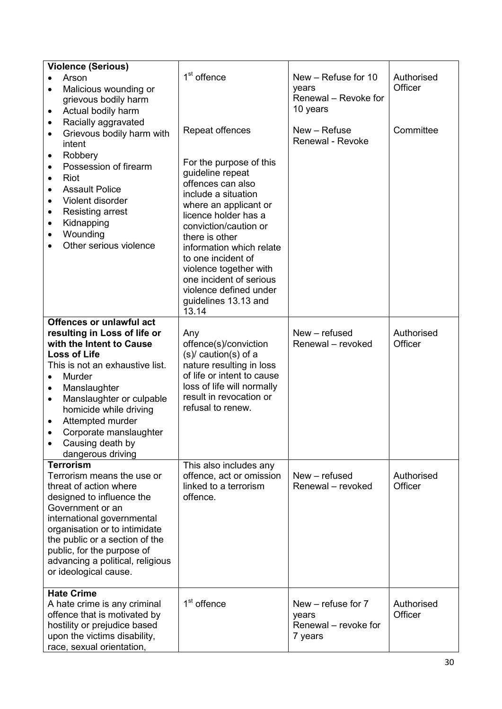| <b>Violence (Serious)</b>                                                                                                                                                                                                                                                                                                                                                      |                                                                                                                                                                                                                                                                                                                                                                          |                                                                    |                       |
|--------------------------------------------------------------------------------------------------------------------------------------------------------------------------------------------------------------------------------------------------------------------------------------------------------------------------------------------------------------------------------|--------------------------------------------------------------------------------------------------------------------------------------------------------------------------------------------------------------------------------------------------------------------------------------------------------------------------------------------------------------------------|--------------------------------------------------------------------|-----------------------|
| Arson<br>Malicious wounding or<br>grievous bodily harm<br>Actual bodily harm<br>٠                                                                                                                                                                                                                                                                                              | 1 <sup>st</sup> offence                                                                                                                                                                                                                                                                                                                                                  | New - Refuse for 10<br>years<br>Renewal - Revoke for<br>10 years   | Authorised<br>Officer |
| Racially aggravated<br>٠<br>Grievous bodily harm with<br>$\bullet$<br>intent<br>Robbery<br>٠<br>Possession of firearm<br>Riot<br>٠<br><b>Assault Police</b><br>$\bullet$<br>Violent disorder<br><b>Resisting arrest</b><br>Kidnapping<br>٠<br>Wounding<br>$\bullet$<br>Other serious violence                                                                                  | Repeat offences<br>For the purpose of this<br>guideline repeat<br>offences can also<br>include a situation<br>where an applicant or<br>licence holder has a<br>conviction/caution or<br>there is other<br>information which relate<br>to one incident of<br>violence together with<br>one incident of serious<br>violence defined under<br>guidelines 13.13 and<br>13.14 | New - Refuse<br>Renewal - Revoke                                   | Committee             |
| Offences or unlawful act<br>resulting in Loss of life or<br>with the Intent to Cause<br><b>Loss of Life</b><br>This is not an exhaustive list.<br>Murder<br>$\bullet$<br>Manslaughter<br>٠<br>Manslaughter or culpable<br>$\bullet$<br>homicide while driving<br>Attempted murder<br>$\bullet$<br>Corporate manslaughter<br>$\bullet$<br>Causing death by<br>dangerous driving | Any<br>offence(s)/conviction<br>$(s)$ caution(s) of a<br>nature resulting in loss<br>of life or intent to cause<br>loss of life will normally<br>result in revocation or<br>refusal to renew.                                                                                                                                                                            | New - refused<br>Renewal - revoked                                 | Authorised<br>Officer |
| <b>Terrorism</b><br>Terrorism means the use or<br>threat of action where<br>designed to influence the<br>Government or an<br>international governmental<br>organisation or to intimidate<br>the public or a section of the<br>public, for the purpose of<br>advancing a political, religious<br>or ideological cause.                                                          | This also includes any<br>offence, act or omission<br>linked to a terrorism<br>offence.                                                                                                                                                                                                                                                                                  | New - refused<br>Renewal - revoked                                 | Authorised<br>Officer |
| <b>Hate Crime</b><br>A hate crime is any criminal<br>offence that is motivated by<br>hostility or prejudice based<br>upon the victims disability,<br>race, sexual orientation,                                                                                                                                                                                                 | 1 <sup>st</sup> offence                                                                                                                                                                                                                                                                                                                                                  | New $-$ refuse for $7$<br>years<br>Renewal – revoke for<br>7 years | Authorised<br>Officer |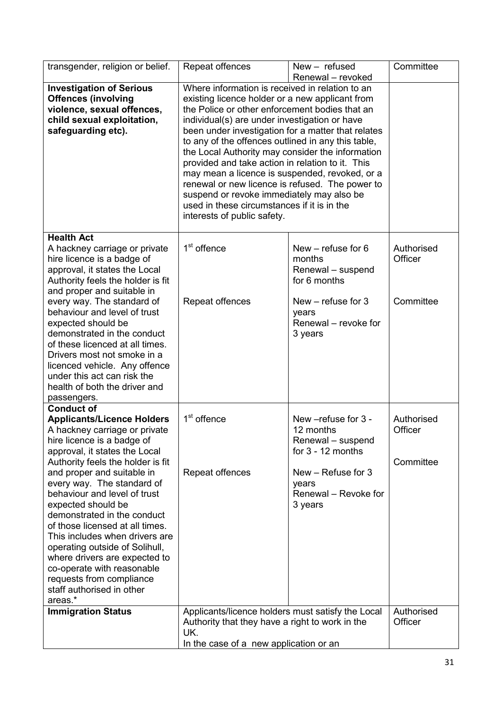| transgender, religion or belief.                                                                                                                                                                                                                                                                                                                                                        | Repeat offences                                                                                                                                                                                                                                                                                                                                                                                                                                                                                                                                                                                                                                                                | $New - refused$                                                              | Committee                          |
|-----------------------------------------------------------------------------------------------------------------------------------------------------------------------------------------------------------------------------------------------------------------------------------------------------------------------------------------------------------------------------------------|--------------------------------------------------------------------------------------------------------------------------------------------------------------------------------------------------------------------------------------------------------------------------------------------------------------------------------------------------------------------------------------------------------------------------------------------------------------------------------------------------------------------------------------------------------------------------------------------------------------------------------------------------------------------------------|------------------------------------------------------------------------------|------------------------------------|
| <b>Investigation of Serious</b><br><b>Offences (involving</b><br>violence, sexual offences,<br>child sexual exploitation,<br>safeguarding etc).                                                                                                                                                                                                                                         | Renewal - revoked<br>Where information is received in relation to an<br>existing licence holder or a new applicant from<br>the Police or other enforcement bodies that an<br>individual(s) are under investigation or have<br>been under investigation for a matter that relates<br>to any of the offences outlined in any this table,<br>the Local Authority may consider the information<br>provided and take action in relation to it. This<br>may mean a licence is suspended, revoked, or a<br>renewal or new licence is refused. The power to<br>suspend or revoke immediately may also be<br>used in these circumstances if it is in the<br>interests of public safety. |                                                                              |                                    |
| <b>Health Act</b><br>A hackney carriage or private<br>hire licence is a badge of<br>approval, it states the Local<br>Authority feels the holder is fit<br>and proper and suitable in                                                                                                                                                                                                    | 1 <sup>st</sup> offence                                                                                                                                                                                                                                                                                                                                                                                                                                                                                                                                                                                                                                                        | New $-$ refuse for 6<br>months<br>Renewal - suspend<br>for 6 months          | Authorised<br>Officer              |
| every way. The standard of<br>behaviour and level of trust<br>expected should be<br>demonstrated in the conduct<br>of these licenced at all times.<br>Drivers most not smoke in a<br>licenced vehicle. Any offence<br>under this act can risk the<br>health of both the driver and<br>passengers.                                                                                       | Repeat offences                                                                                                                                                                                                                                                                                                                                                                                                                                                                                                                                                                                                                                                                | New $-$ refuse for 3<br>years<br>Renewal – revoke for<br>3 years             | Committee                          |
| <b>Conduct of</b><br><b>Applicants/Licence Holders</b><br>A hackney carriage or private<br>hire licence is a badge of<br>approval, it states the Local<br>Authority feels the holder is fit                                                                                                                                                                                             | 1 <sup>st</sup> offence                                                                                                                                                                                                                                                                                                                                                                                                                                                                                                                                                                                                                                                        | New -refuse for 3 -<br>12 months<br>Renewal - suspend<br>for $3 - 12$ months | Authorised<br>Officer<br>Committee |
| and proper and suitable in<br>every way. The standard of<br>behaviour and level of trust<br>expected should be<br>demonstrated in the conduct<br>of those licensed at all times.<br>This includes when drivers are<br>operating outside of Solihull,<br>where drivers are expected to<br>co-operate with reasonable<br>requests from compliance<br>staff authorised in other<br>areas.* | Repeat offences                                                                                                                                                                                                                                                                                                                                                                                                                                                                                                                                                                                                                                                                | New - Refuse for 3<br>years<br>Renewal - Revoke for<br>3 years               |                                    |
| <b>Immigration Status</b>                                                                                                                                                                                                                                                                                                                                                               | Applicants/licence holders must satisfy the Local<br>Authority that they have a right to work in the<br>UK.<br>In the case of a new application or an                                                                                                                                                                                                                                                                                                                                                                                                                                                                                                                          |                                                                              | Authorised<br>Officer              |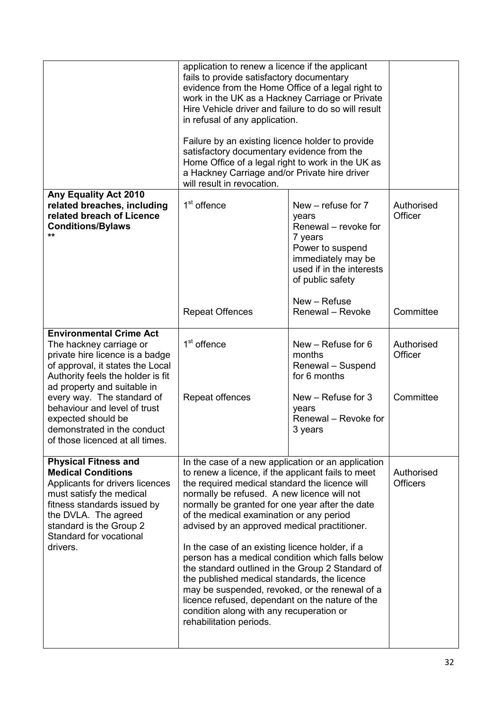|                                                                                                                                                                                                                                                                                          | application to renew a licence if the applicant<br>fails to provide satisfactory documentary<br>evidence from the Home Office of a legal right to<br>work in the UK as a Hackney Carriage or Private<br>Hire Vehicle driver and failure to do so will result<br>in refusal of any application.<br>Failure by an existing licence holder to provide<br>satisfactory documentary evidence from the<br>Home Office of a legal right to work in the UK as<br>a Hackney Carriage and/or Private hire driver<br>will result in revocation.                                                                                                                                                                                                            |                                                                                                                                                                                              |                                    |
|------------------------------------------------------------------------------------------------------------------------------------------------------------------------------------------------------------------------------------------------------------------------------------------|-------------------------------------------------------------------------------------------------------------------------------------------------------------------------------------------------------------------------------------------------------------------------------------------------------------------------------------------------------------------------------------------------------------------------------------------------------------------------------------------------------------------------------------------------------------------------------------------------------------------------------------------------------------------------------------------------------------------------------------------------|----------------------------------------------------------------------------------------------------------------------------------------------------------------------------------------------|------------------------------------|
| Any Equality Act 2010<br>related breaches, including<br>related breach of Licence<br><b>Conditions/Bylaws</b><br>$\star\star$                                                                                                                                                            | 1 <sup>st</sup> offence<br><b>Repeat Offences</b>                                                                                                                                                                                                                                                                                                                                                                                                                                                                                                                                                                                                                                                                                               | New - refuse for 7<br>years<br>Renewal - revoke for<br>7 years<br>Power to suspend<br>immediately may be<br>used if in the interests<br>of public safety<br>New - Refuse<br>Renewal - Revoke | Authorised<br>Officer<br>Committee |
| <b>Environmental Crime Act</b><br>The hackney carriage or<br>private hire licence is a badge<br>of approval, it states the Local<br>Authority feels the holder is fit<br>ad property and suitable in<br>every way. The standard of<br>behaviour and level of trust<br>expected should be | 1 <sup>st</sup> offence<br>Repeat offences                                                                                                                                                                                                                                                                                                                                                                                                                                                                                                                                                                                                                                                                                                      | New $-$ Refuse for 6<br>months<br>Renewal - Suspend<br>for 6 months<br>New - Refuse for 3<br>years<br>Renewal - Revoke for                                                                   | Authorised<br>Officer<br>Committee |
| demonstrated in the conduct<br>of those licenced at all times.                                                                                                                                                                                                                           |                                                                                                                                                                                                                                                                                                                                                                                                                                                                                                                                                                                                                                                                                                                                                 | 3 years                                                                                                                                                                                      |                                    |
| <b>Physical Fitness and</b><br><b>Medical Conditions</b><br>Applicants for drivers licences<br>must satisfy the medical<br>fitness standards issued by<br>the DVLA. The agreed<br>standard is the Group 2<br>Standard for vocational<br>drivers.                                         | In the case of a new application or an application<br>to renew a licence, if the applicant fails to meet<br>the required medical standard the licence will<br>normally be refused. A new licence will not<br>normally be granted for one year after the date<br>of the medical examination or any period<br>advised by an approved medical practitioner.<br>In the case of an existing licence holder, if a<br>person has a medical condition which falls below<br>the standard outlined in the Group 2 Standard of<br>the published medical standards, the licence<br>may be suspended, revoked, or the renewal of a<br>licence refused, dependant on the nature of the<br>condition along with any recuperation or<br>rehabilitation periods. |                                                                                                                                                                                              | Authorised<br><b>Officers</b>      |